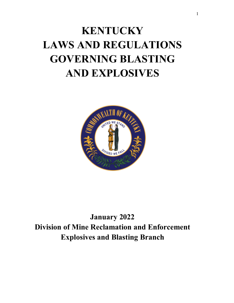# **KENTUCKY LAWS AND REGULATIONS GOVERNING BLASTING AND EXPLOSIVES**



**January 2022 Division of Mine Reclamation and Enforcement Explosives and Blasting Branch**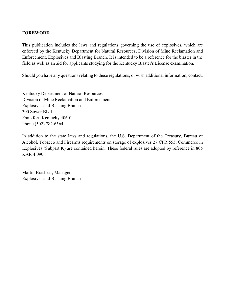#### **FOREWORD**

This publication includes the laws and regulations governing the use of explosives, which are enforced by the Kentucky Department for Natural Resources, Division of Mine Reclamation and Enforcement, Explosives and Blasting Branch. It is intended to be a reference for the blaster in the field as well as an aid for applicants studying for the Kentucky Blaster's License examination.

Should you have any questions relating to these regulations, or wish additional information, contact:

Kentucky Department of Natural Resources Division of Mine Reclamation and Enforcement Explosives and Blasting Branch 300 Sower Blvd. Frankfort, Kentucky 40601 Phone (502) 782-6564

In addition to the state laws and regulations, the U.S. Department of the Treasury, Bureau of Alcohol, Tobacco and Firearms requirements on storage of explosives 27 CFR 555, Commerce in Explosives (Subpart K) are contained herein. These federal rules are adopted by reference in 805 KAR 4:090.

Martin Brashear, Manager Explosives and Blasting Branch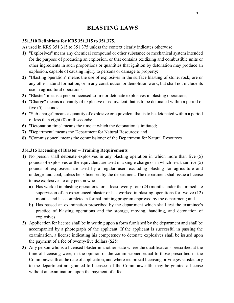# **BLASTING LAWS**

#### **351.310 Definitions for KR5 351.315 to 351.375.**

As used in KRS 351.315 to 351.375 unless the context clearly indicates otherwise:

- **1)** "Explosives" means any chemical compound or other substance or mechanical system intended for the purpose of producing an explosion, or that contains oxidizing and combustible units or other ingredients in such proportions or quantities that ignition by detonation may produce an explosion, capable of causing injury to persons or damage to property;
- **2)** "Blasting operation" means the use of explosives in the surface blasting of stone, rock, ore or any other natural formation, or in any construction or demolition work, but shall not include its use in agricultural operations;
- **3)** "Blaster" means a person licensed to fire or detonate explosives in blasting operations;
- **4)** "Charge" means a quantity of explosive or equivalent that is to be detonated within a period of five (5) seconds;
- **5)** "Sub-charge" means a quantity of explosive or equivalent that is to be detonated within a period of less than eight (8) milliseconds;
- **6)** "Detonation time" means the time at which the detonation is initiated;
- **7)** "Department" means the Department for Natural Resources; and
- **8)** "Commissioner" means the commissioner of the Department for Natural Resources

#### **351.315 Licensing of Blaster – Training Requirements**

- **1)** No person shall detonate explosives in any blasting operation in which more than five (5) pounds of explosives or the equivalent are used in a single charge or in which less than five (5) pounds of explosives are used by a regular user, excluding blasting for agriculture and underground coal, unless he is licensed by the department. The department shall issue a license to use explosives to any person who:
	- **a)** Has worked in blasting operations for at least twenty-four (24) months under the immediate supervision of an experienced blaster or has worked in blasting operations for twelve (12) months and has completed a formal training program approved by the department; and
	- **b)** Has passed an examination prescribed by the department which shall test the examinee's practice of blasting operations and the storage, moving, handling, and detonation of explosives.
- **2)** Application for license shall be in writing upon a form furnished by the department and shall be accompanied by a photograph of the applicant. If the applicant is successful in passing the examination, a license indicating his competency to detonate explosives shall be issued upon the payment of a fee of twenty-five dollars (\$25).
- **3)** Any person who is a licensed blaster in another state where the qualifications prescribed at the time of licensing were, in the opinion of the commissioner, equal to those prescribed in the Commonwealth at the date of application, and where reciprocal licensing privileges satisfactory to the department are granted to licensees of the Commonwealth, may be granted a license without an examination, upon the payment of a fee.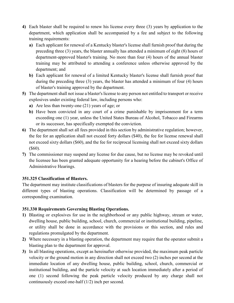- **4)** Each blaster shall be required to renew his license every three (3) years by application to the department, which application shall be accompanied by a fee and subject to the following training requirements:
	- **a)** Each applicant for renewal of a Kentucky blaster's license shall furnish proof that during the preceding three (3) years, the blaster annually has attended a minimum of eight (8) hours of department-approved blaster's training. No more than four (4) hours of the annual blaster training may be attributed to attending a conference unless otherwise approved by the department; and
	- **b)** Each applicant for renewal of a limited Kentucky blaster's license shall furnish proof that during the preceding three (3) years, the blaster has attended a minimum of four (4) hours of blaster's training approved by the department.
- **5)** The department shall not issue a blaster's license to any person not entitled to transport or receive explosives under existing federal law, including persons who:
	- **a)** Are less than twenty-one (21) years of age; or
	- **b)** Have been convicted in any court of a crime punishable by imprisonment for a term exceeding one (1) year, unless the United States Bureau of Alcohol, Tobacco and Firearms or its successor, has specifically exempted the conviction.
- **6)** The department shall set all fees provided in this section by administrative regulation; however, the fee for an application shall not exceed forty dollars (\$40), the fee for license renewal shall not exceed sixty dollars (\$60), and the fee for reciprocal licensing shall not exceed sixty dollars (\$60).
- **7)** The commissioner may suspend any license for due cause, but no license may be revoked until the licensee has been granted adequate opportunity for a hearing before the cabinet's Office of Administrative Hearings.

## **351.325 Classification of Blasters.**

The department may institute classifications of blasters for the purpose of insuring adequate skill in different types of blasting operations. Classification will be determined by passage of a corresponding examination.

## **351.330 Requirements Governing Blasting Operations.**

- **1)** Blasting or explosives for use in the neighborhood or any public highway, stream or water, dwelling house, public building, school, church, commercial or institutional building, pipeline, or utility shall be done in accordance with the provisions or this section, and rules and regulations promulgated by the department.
- **2)** Where necessary in a blasting operation, the department may require that the operator submit a blasting plan to the department for approval.
- **3)** In all blasting operations, except as hereinafter otherwise provided, the maximum peak particle velocity or the ground motion in any direction shall not exceed two (2) inches per second at the immediate location of any dwelling house, public building, school, church, commercial or institutional building, and the particle velocity at such location immediately after a period of one (1) second following the peak particle velocity produced by any charge shall not continuously exceed one-half (1/2) inch per second.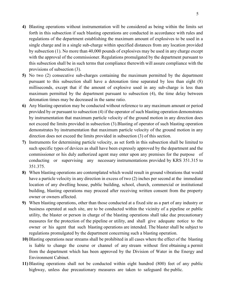- **4)** Blasting operations without instrumentation will be considered as being within the limits set forth in this subsection if such blasting operations are conducted in accordance with rules and regulations of the department establishing the maximum amount of explosives to be used in a single charge and in a single sub-charge within specified distances from any location provided by subsection (1). No more than 40,000 pounds of explosives may be used in any charge except with the approval of the commissioner. Regulations promulgated by the department pursuant to this subsection shall be in such terms that compliance therewith will assure compliance with the provisions of subsection (3).
- **5)** No two (2) consecutive sub-charges containing the maximum permitted by the department pursuant to this subsection shall have a detonation time separated by less than eight (8) milliseconds, except that if the amount of explosive used in any sub-charge is less than maximum permitted by the department pursuant to subsection (4), the time delay between detonation times may be decreased in the same ratio.
- **6)** Any blasting operation may be conducted without reference to any maximum amount or period provided by or pursuant to subsection (4) if the operator of such blasting operation demonstrates by instrumentation that maximum particle velocity of the ground motion in any direction does not exceed the limits provided in subsection (3).Blasting of operator of such blasting operation demonstrates by instrumentation that maximum particle velocity of the ground motion in any direction does not exceed the limits provided in subsection (3) of this section.
- **7)** Instruments for determining particle velocity, as set forth in this subsection shall be limited to such specific types of devices as shall have been expressly approved by the department and the commissioner or his duly authorized agent may enter upon any premises for the purpose of conducting or supervising any necessary instrumentations provided by KRS 351.315 to 351.375.
- **8)** When blasting operations are contemplated which would result in ground vibrations that would have a particle velocity in any direction in excess of two (2) inches per second at the immediate location of any dwelling house, public building, school, church, commercial or institutional building, blasting operations may proceed after receiving written consent from the property owner or owners affected.
- **9)** When blasting operations, other than those conducted at a fixed site as a part of any industry or business operated at such site, are to be conducted within the vicinity of a pipeline or public utility, the blaster or person in charge of the blasting operations shall take due precautionary measures for the protection of the pipeline or utility, and shall give adequate notice to the owner or his agent that such blasting operations are intended. The blaster shall be subject to regulations promulgated by the department concerning such a blasting operation.
- **10)** Blasting operations near streams shall be prohibited in all cases where the effect of the blasting is liable to change the course or channel of any stream without first obtaining a permit from the department which has been approved by the Division of Water in the Energy and Environment Cabinet.
- **11)** Blasting operations shall not be conducted within eight hundred (800) feet of any public highway, unless due precautionary measures are taken to safeguard the public.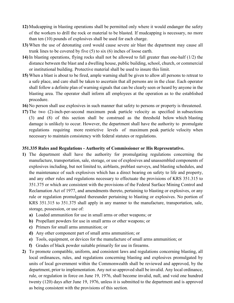- **12)** Mudcapping in blasting operations shall be permitted only where it would endanger the safety of the workers to drill the rock or material to be blasted. If mudcapping is necessary, no more than ten (10) pounds of explosives shall be used for each charge.
- **13)** When the use of detonating cord would cause severe air blast the department may cause all trunk lines to be covered by five (5) to six (6) inches of loose earth.
- **14)** In blasting operations, flying rocks shall not be allowed to fall greater than one-half (1/2) the distance between the blast and a dwelling house, public building, school, church, or commercial or institutional building. Protective material shall be used to insure this limit.
- **15)** When a blast is about to be fired, ample warning shall be given to allow all persons to retreat to a safe place, and care shall be taken to ascertain that all persons are in the clear. Each operator shall follow a definite plan of warning signals that can be clearly seen or heard by anyone in the blasting area. The operator shall inform all employees at the operation as to the established procedure.
- **16)** No person shall use explosives in such manner that safety to persons or property is threatened.
- **17)** The two (2)-inch-per-second maximum peak particle velocity as specified in subsections (3) and (8) of this section shall be construed as the threshold below which blasting damage is unlikely to occur. However, the department shall have the authority to promulgate regulations requiring more restrictive levels of maximum peak particle velocity when necessary to maintain consistency with federal statutes or regulations.

#### **351.335 Rules and Regulations - Authority of Commissioner or His Representative.**

- **1)** The department shall have the authority for promulgating regulations concerning the manufacture, transportation, sale, storage, or use of explosives and unassembled components of explosives including, but not limited to, airblasts, preblast surveys, and blasting schedules, and the maintenance of such explosives which has a direct bearing on safety to life and property, and any other rules and regulations necessary to effectuate the provisions of KRS 351.315 to 351.375 or which are consistent with the provisions of the Federal Surface Mining Control and Reclamation Act of 1977, and amendments thereto, pertaining to blasting or explosives, or any rule or regulation promulgated thereunder pertaining to blasting or explosives. No portion of KRS 351.315 to 351.375 shall apply in any manner to the manufacture, transportation, sale, storage, possession, or use of:
	- **a)** Loaded ammunition for use in small arms or other weapons; or
	- **b)** Propellant powders for use in small arms or other weapons; or
	- **c)** Primers for small arms ammunition; or
	- **d)** Any other component part of small arms ammunition; or
	- **e)** Tools, equipment, or devices for the manufacture of small arms ammunition; or
	- **f)** Grades of black powder suitable primarily for use in firearms.
- **2)** To promote compatible, uniform, and consistent laws and regulations concerning blasting, all local ordinances, rules, and regulations concerning blasting and explosives promulgated by units of local government within the Commonwealth shall be reviewed and approved, by the department, prior to implementation. Any not so approved shall be invalid. Any local ordinance, rule, or regulation in force on June 19, 1976, shall become invalid, null, and void one hundred twenty (120) days after June 19, 1976, unless it is submitted to the department and is approved as being consistent with the provisions of this section.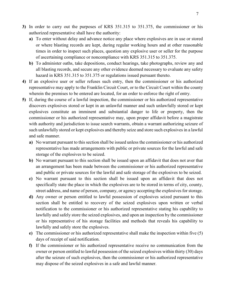- **3)** In order to carry out the purposes of KRS 351.315 to 351.375, the commissioner or his authorized representative shall have the authority:
	- **a)** To enter without delay and advance notice any place where explosives are in use or stored or where blasting records are kept, during regular working hours and at other reasonable times in order to inspect such places, question any explosive user or seller for the purpose of ascertaining compliance or noncompliance with KRS 351.315 to 351.375.
	- **b)** To administer oaths, take depositions, conduct hearings, take photographs, review any and all blasting records, and secure any other evidence deemed necessary to evaluate any safety hazard in KRS 351.315 to 351.375 or regulations issued pursuant thereto.
- **4)** If an explosive user or seller refuses such entry, then the commissioner or his authorized representative may apply to the Franklin Circuit Court, or to the Circuit Court within the county wherein the premises to be entered are located, for an order to enforce the right of entry.
- **5)** If, during the course of a lawful inspection, the commissioner or his authorized representative discovers explosives stored or kept in an unlawful manner and such unlawfully stored or kept explosives constitute an imminent and substantial danger to life or property, then the commissioner or his authorized representative may, upon proper affidavit before a magistrate with authority and jurisdiction to issue search warrants, obtain a warrant authorizing seizure of such unlawfully stored or kept explosives and thereby seize and store such explosives in a lawful and safe manner.
	- **a)** No warrant pursuant to this section shall be issued unless the commissioner or his authorized representative has made arrangements with public or private sources for the lawful and safe storage of the explosives to be seized.
	- **b**) No warrant pursuant to this section shall be issued upon an affidavit that does not aver that an arrangement has been made between the commissioner or his authorized representative and public or private sources for the lawful and safe storage of the explosives to be seized.
	- **c)** No warrant pursuant to this section shall be issued upon an affidavit that does not specifically state the place in which the explosives are to be stored in terms of city, county, street address, and name of person, company, or agency accepting the explosives for storage.
	- **d)** Any owner or person entitled to lawful possession of explosives seized pursuant to this section shall be entitled to recovery of the seized explosives upon written or verbal notification to the commissioner or his authorized representative stating his capability to lawfully and safely store the seized explosives, and upon an inspection by the commissioner or his representative of his storage facilities and methods that reveals his capability to lawfully and safely store the explosives.
	- **e)** The commissioner or his authorized representative shall make the inspection within five (5) days of receipt of said notification.
	- **f)** If the commissioner or his authorized representative receive no communication from the owner or person entitled to lawful possession of the seized explosives within thirty (30) days after the seizure of such explosives, then the commissioner or his authorized representative may dispose of the seized explosives in a safe and lawful manner.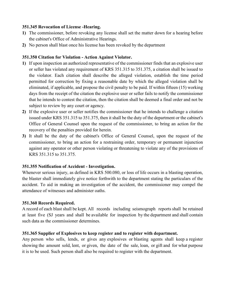#### **351.345 Revocation of License -Hearing.**

- **1)** The commissioner, before revoking any license shall set the matter down for a hearing before the cabinet's Office of Administrative Hearings.
- **2)** No person shall blast once his license has been revoked by the department

### **351.350 Citation for Violation - Action Against Violator.**

- **1)** If upon inspection an authorized representative of the commissioner finds that an explosive user or seller has violated any requirement of KRS 351.315 to 351.375, a citation shall be issued to the violator. Each citation shall describe the alleged violation, establish the time period permitted for correction by fixing a reasonable date by which the alleged violation shall be eliminated, if applicable, and propose the civil penalty to be paid. If within fifteen (15) working days from the receipt of the citation the explosive user or seller fails to notify the commissioner that he intends to contest the citation, then the citation shall be deemed a final order and not be subject to review by any court or agency.
- **2)** If the explosive user or seller notifies the commissioner that he intends to challenge a citation issued under KRS 351.315 to 351.375, then it shall be the duty of the department or the cabinet's Office of General Counsel upon the request of the commissioner, to bring an action for the recovery of the penalties provided for herein.
- **3)** It shall be the duty of the cabinet's Office of General Counsel, upon the request of the commissioner, to bring an action for a restraining order, temporary or permanent injunction against any operator or other person violating or threatening to violate any of the provisions of KRS 351.315 to 351.375.

## **351.355 Notification of Accident - Investigation.**

Whenever serious injury, as defined in KRS 500.080, or loss of life occurs in a blasting operation, the blaster shall immediately give notice forthwith to the department stating the particulars of the accident. To aid in making an investigation of the accident, the commissioner may compel the attendance of witnesses and administer oaths.

#### **351.360 Records Required.**

A record of each blast shall be kept. All records including seismograph reports shall be retained at least five (SJ years and shall be available for inspection by the department and shall contain such data as the commissioner determines.

#### **351.365 Supplier of Explosives to keep register and to register with department.**

Any person who sells, lends, or gives any explosives or blasting agents shall keep a register showing the amount sold, lent, or given, the date of the sale, loan, or gift and for what purpose it is to be used. Such person shall also be required to register with the department.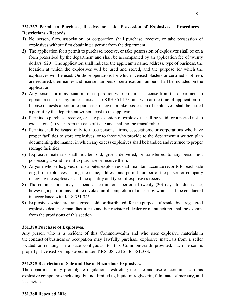#### **351.367 Permit to Purchase, Receive, or Take Possession of Explosives - Procedures - Restrictions - Records.**

- **1)** No person, firm, association, or corporation shall purchase, receive, or take possession of explosives without first obtaining a permit from the department.
- **2)** The application for a permit to purchase, receive, or take possession of explosives shall be on a form prescribed by the department and shall be accompanied by an application fee of twenty dollars (\$20). The application shall indicate the applicant's name, address, type of business, the location at which the explosives will be used and stored, and the purpose for which the explosives will be used. On those operations for which licensed blasters or certified shotfirers are required, their names and license numbers or certification numbers shall be included on the application.
- **3)** Any person, firm, association, or corporation who procures a license from the department to operate a coal or clay mine, pursuant to KRS 351.175, and who at the time of application for license requests a permit to purchase, receive, or take possession of explosives, shall be issued a permit by the department without cost to the applicant.
- **4)** Permits to purchase, receive, or take possession of explosives shall be valid for a period not to exceed one (1) year from the date of issue and shall not be transferable.
- **5)** Permits shall be issued only to those persons, firms, associations, or corporations who have proper facilities to store explosives, or to those who provide to the department a written plan documenting the manner in which any excess explosives shall be handled and returned to proper storage facilities.
- **6)** Explosive materials shall not be sold, given, delivered, or transferred to any person not possessing a valid permit to purchase or receive them.
- **7)** Anyone who sells, gives, or distributes explosives shall maintain accurate records for each sale or gift of explosives, listing the name, address, and permit number of the person or company receiving the explosives and the quantity and types of explosives received.
- **8)** The commissioner may suspend a permit for a period of twenty (20) days for due cause; however, a permit may not be revoked until completion of a hearing, which shall be conducted in accordance with KRS 351.345.
- **9)** Explosives which are transferred, sold, or distributed, for the purpose of resale, by a registered explosive dealer or manufacturer to another registered dealer or manufacturer shall be exempt from the provisions of this section

#### **351.370 Purchase of Explosives.**

Any person who is a resident of this Commonwealth and who uses explosive materials in the conduct of business or occupation may lawfully purchase explosive materials from a seller located or residing in a state contiguous to this Commonwealth; provided, such person is properly licensed or registered under KRS 3S1. 31S to 3S1.37S.

#### **351.375 Restriction of Sale and Use of Hazardous Explosives.**

The department may promulgate regulations restricting the sale and use of certain hazardous explosive compounds including, but not limited to, liquid nitroglycerin, fulminate of mercury, and lead azide.

#### **351.380 Repealed 2018.**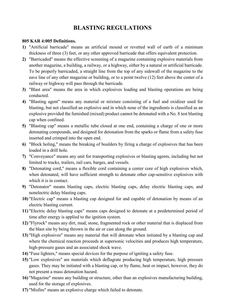# **BLASTING REGULATIONS**

#### **805 KAR 4:005 Definitions.**

- **1)** "Artificial barricade" means an artificial mound or revetted wall of earth of a minimum thickness of three (3) feet, or any other approved barricade that offers equivalent protection.
- **2)** "Barricaded" means the effective screening of a magazine containing explosive materials from another magazine, a building, a railway, or a highway, either by a natural or artificial barricade. To be properly barricaded, a straight line from the top of any sidewall of the magazine to the eave line of any other magazine or building, or to a point twelve (12) feet above the center of a railway or highway will pass through the barricade.
- **3)** "Blast area" means the area in which explosives loading and blasting operations are being conducted.
- **4)** "Blasting agent" means any material or mixture consisting of a fuel and oxidizer used for blasting, but not classified an explosive and in which none of the ingredients is classified as an explosive provided the furnished (mixed) product cannot be detonated with a No. 8 test blasting cap when confined.
- **5)** "Blasting cap" means a metallic tube closed at one end, containing a charge of one or more detonating compounds, and designed for detonation from the sparks or flame from a safety fuse inserted and crimped into the open end.
- **6)** "Block holing," means the breaking of boulders by firing a charge of explosives that has been loaded in a drill hole.
- **7)** "Conveyance" means any unit for transporting explosives or blasting agents, including but not limited to trucks, trailers, rail cars, barges, and vessels.
- **8)** "Detonating cord," means a flexible cord containing a center core of high explosives which, when detonated, will have sufficient strength to detonate other cap-sensitive explosives with which it is in contact.
- **9)** "Detonator" means blasting caps, electric blasting caps, delay electric blasting caps, and nonelectric delay blasting caps.
- **10)** "Electric cap" means a blasting cap designed for and capable of detonation by means of an electric blasting current.
- **11)** "Electric delay blasting caps" means caps designed to detonate at a predetermined period of time after energy is applied to the ignition system.
- **12)** "Flyrock" means any dirt, mud, stone, fragmented rock or other material that is displaced from the blast site by being thrown in the air or cast along the ground.
- **13)** "High explosives" means any material that will detonate when initiated by a blasting cap and where the chemical reaction proceeds at supersonic velocities and produces high temperature, high-pressure gases and an associated shock wave.
- **14)** "Fuse lighters," means special devices for the purpose of igniting a safety fuse.
- **15)** "Low explosives" are materials which deflagrate producing high temperature, high pressure gases. They may be initiated with a blasting cap, or by flame, heat or impact, however, they do not present a mass detonation hazard.
- **16)** "Magazine" means any building or structure, other than an explosives manufacturing building, used for the storage of explosives.
- **17)** "Misfire" means an explosive charge which failed to detonate.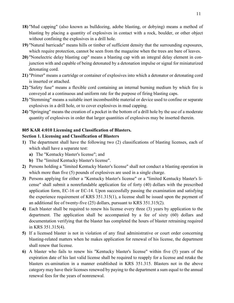- **18)** "Mud capping" (also known as bulldozing, adobe blasting, or dobying) means a method of blasting by placing a quantity of explosives in contact with a rock, boulder, or other object without confining the explosives in a drill hole.
- **19)** "Natural barricade" means hills or timber of sufficient density that the surrounding exposures, which require protection, cannot be seen from the magazine when the trees are bare of leaves.
- **20)** "Nonelectric delay blasting cap" means a blasting cap with an integral delay element in conjunction with and capable of being detonated by a detonation impulse or signal for miniaturized detonating cord.
- **21)** "Primer" means a cartridge or container of explosives into which a detonator or detonating cord is inserted or attached.
- **22)** "Safety fuse" means a flexible cord containing an internal burning medium by which fire is conveyed at a continuous and uniform rate for the purpose of firing blasting caps.
- **23)** "Stemming" means a suitable inert incombustible material or device used to confine or separate explosives in a drill hole, or to cover explosives in mud capping.
- **24)** "Springing" means the creation of a pocket in the bottom of a drill hole by the use of a moderate quantity of explosives in order that larger quantities of explosives may be inserted therein.

#### **805 KAR 4:010 Licensing and Classification of Blasters.**

#### **Section 1. Licensing and Classification of Blasters**

- **1)** The department shall have the following two (2) classifications of blasting licenses, each of which shall have a separate test:
	- **a)** The "Kentucky blaster's license"; and
	- **b)** The "limited Kentucky blaster's license".
- **2)** Persons holding a "limited Kentucky blaster's license" shall not conduct a blasting operation in which more than five (5) pounds of explosives are used in a single charge.
- **3)** Persons applying for either a "Kentucky blaster's license" or a "limited Kentucky blaster's license" shall submit a nonrefundable application fee of forty (40) dollars with the prescribed application form, EC-16 or EC-14. Upon successfully passing the examination and satisfying the experience requirement of KRS 351.315(1), a license shall be issued upon the payment of an additional fee of twenty-five (25) dollars, pursuant to KRS 351.315(2).
- **4)** Each blaster shall be required to renew his license every three (3) years by application to the department. The application shall be accompanied by a fee of sixty (60) dollars and documentation verifying that the blaster has completed the hours of blaster retraining required in KRS 351.315(4).
- **5)** If a licensed blaster is not in violation of any final administrative or court order concerning blasting-related matters when he makes application for renewal of his license, the department shall renew that license.
- **6)** A blaster who fails to renew his "Kentucky blaster's license" within five (5) years of the expiration date of his last valid license shall be required to reapply for a license and retake the blasters ex-amination in a manner established in KRS 351.315. Blasters not in the above category may have their licenses renewed by paying to the department a sum equal to the annual renewal fees for the years of nonrenewal.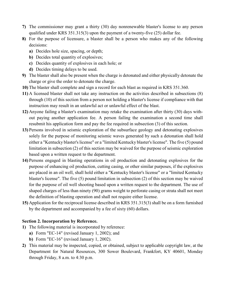- **7)** The commissioner may grant a thirty (30) day nonrenewable blaster's license to any person qualified under KRS 351.315(3) upon the payment of a twenty-five (25) dollar fee.
- **8)** For the purpose of licensure, a blaster shall be a person who makes any of the following decisions:
	- **a)** Decides hole size, spacing, or depth;
	- **b)** Decides total quantity of explosives;
	- **c)** Decides quantity of explosives in each hole; or
	- **d)** Decides timing delays to be used.
- **9)** The blaster shall also be present when the charge is detonated and either physically detonate the charge or give the order to detonate the charge.
- **10)** The blaster shall complete and sign a record for each blast as required in KRS 351.360.
- **11)** A licensed blaster shall not take any instruction on the activities described in subsections (8) through (10) of this section from a person not holding a blaster's license if compliance with that instruction may result in an unlawful act or unlawful effect of the blast.
- **12)** Anyone failing a blaster's examination may retake the examination after thirty (30) days without paying another application fee. A person failing the examination a second time shall resubmit his application form and pay the fee required in subsection (3) of this section.
- **13)** Persons involved in seismic exploration of the subsurface geology and detonating explosives solely for the purpose of monitoring seismic waves generated by such a detonation shall hold either a "Kentucky blaster's license" or a "limited Kentucky blaster's license". The five (5) pound limitation in subsection (2) of this section may be waived for the purpose of seismic exploration based upon a written request to the department.
- **14)** Persons engaged in blasting operations in oil production and detonating explosives for the purpose of enhancing oil production, cutting casing, or other similar purposes, if the explosives are placed in an oil well, shall hold either a "Kentucky blaster's license" or a "limited Kentucky blaster's license". The five (5) pound limitation in subsection (2) of this section may be waived for the purpose of oil well shooting based upon a written request to the department. The use of shaped charges of less than ninety (90) grams weight to perforate casing or strata shall not meet the definition of blasting operation and shall not require either license.
- **15)** Application for the reciprocal license described in KRS 351.315(3) shall be on a form furnished by the department and accompanied by a fee of sixty (60) dollars.

#### **Section 2. Incorporation by Reference.**

- **1)** The following material is incorporated by reference:
	- **a)** Form "EC-14" (revised January 1, 2002); and
	- **b)** Form "EC-16" (revised January 1, 2002).
- **2)** This material may be inspected, copied, or obtained, subject to applicable copyright law, at the Department for Natural Resources, 300 Sower Boulevard, Frankfort, KY 40601, Monday through Friday, 8 a.m. to 4:30 p.m.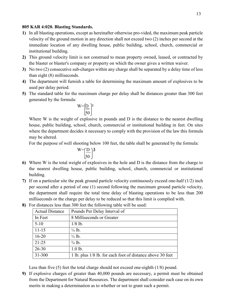#### **805 KAR 4:020. Blasting Standards.**

- **1)** In all blasting operations, except as hereinafter otherwise pro-vided, the maximum peak particle velocity of the ground motion in any direction shall not exceed two (2) inches per second at the immediate location of any dwelling house, public building, school, church, commercial or institutional building.
- **2)** This ground velocity limit is not construed to mean property owned, leased, or contracted by the blaster or blaster's company or property on which the owner gives a written waiver.
- **3)** No two (2) consecutive sub-charges within any charge shall be separated by a delay time of less than eight (8) milliseconds.
- **4)** The department will furnish a table for determining the maximum amount of explosives to be used per delay period.
- **5)** The standard table for the maximum charge per delay shall be distances greater than 300 feet generated by the formula:

$$
W = \left[\frac{D}{50}\right]^2
$$

Where W is the weight of explosive in pounds and D is the distance to the nearest dwelling house, public building, school, church, commercial or institutional building in feet. On sites where the department decides it necessary to comply with the provision of the law this formula may be altered.

For the purpose of well shooting below 100 feet, the table shall be generated by the formula:

$$
W = \left(\frac{D}{50}\right)^3
$$

- **6)** Where W is the total weight of explosives in the hole and D is the distance from the charge to the nearest dwelling house, public building, school, church, commercial or institutional building.
- **7)** If on a particular site the peak ground particle velocity continuously exceed one-half (1/2) inch per second after a period of one (1) second following the maximum ground particle velocity, the department shall require the total time delay of blasting operations to be less than 200 milliseconds or the charge per delay to be reduced so that this limit is complied with.
	- Actual Distance | Pounds Per Delay Interval of In Feet 8 Milliseconds or Greater  $5-10$  1/8 lb.  $11-15$   $\frac{1}{4}$  lb.  $16-20$   $\frac{1}{2}$  lb. 21-25  $\frac{3}{4}$  lb. 26-30 1.0 lb. 31-300 1 lb. plus 1/8 lb. for each foot of distance above 30 feet

**8)** For distances less than 300 feet the following table will be used:

Less than five (5) feet the total charge should not exceed one-eighth (1/8) pound.

**9)** If explosive charges of greater than 40,000 pounds are necessary, a permit must be obtained from the Department for Natural Resources. The department shall consider each case on its own merits in making a determination as to whether or not to grant such a permit.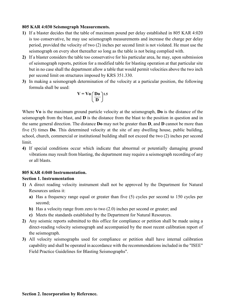#### **805 KAR 4:030 Seismograph Measurements.**

- **1)** If a blaster decides that the table of maximum pound per delay established in 805 KAR 4:020 is too conservative, he may use seismograph measurements and increase the charge per delay period, provided the velocity of two (2) inches per second limit is not violated. He must use the seismograph on every shot thereafter so long as the table is not being complied with.
- **2)** If a blaster considers the table too conservative for his particular area, he may, upon submission of seismograph reports, petition for a modified table for blasting operation at that particular site but in no case shall the department allow a table that would permit velocities above the two inch per second limit on structures imposed by KRS 351.330.
- **3)** In making a seismograph determination of the velocity at a particular position, the following formula shall be used:

$$
V = V_0 \left(\frac{Do}{D}\right)^{1.5}
$$

Where **Vo** is the maximum ground particle velocity at the seismograph, **Do** is the distance of the seismograph from the blast, and **D** is the distance from the blast to the position in question and in the same general direction. The distance **Do** may not be greater than **D**, and **D** cannot be more than five (5) times **Do**. This determined velocity at the site of any dwelling house, public building, school, church, commercial or institutional building shall not exceed the two (2) inches per second limit.

**4)** If special conditions occur which indicate that abnormal or potentially damaging ground vibrations may result from blasting, the department may require a seismograph recording of any or all blasts.

#### **805 KAR 4:040 Instrumentation.**

#### **Section 1. Instrumentation**

- **1)** A direct reading velocity instrument shall not be approved by the Department for Natural Resources unless it:
	- **a)** Has a frequency range equal or greater than five (5) cycles per second to 150 cycles per second;
	- **b)** Has a velocity range from zero to two (2.0) inches per second or greater; and
	- **c)** Meets the standards established by the Department for Natural Resources.
- **2)** Any seismic reports submitted to this office for compliance or petition shall be made using a direct-reading velocity seismograph and accompanied by the most recent calibration report of the seismograph.
- **3)** All velocity seismographs used for compliance or petition shall have internal calibration capability and shall be operated in accordance with the recommendations included in the "ISEE" Field Practice Guidelines for Blasting Seismographs".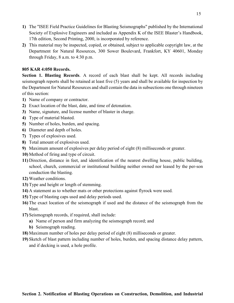- **1)** The "ISEE Field Practice Guidelines for Blasting Seismographs" published by the International Society of Explosive Engineers and included as Appendix K of the ISEE Blaster's Handbook, 17th edition, Second Printing, 2000, is incorporated by reference.
- **2)** This material may be inspected, copied, or obtained, subject to applicable copyright law, at the Department for Natural Resources, 300 Sower Boulevard, Frankfort, KY 40601, Monday through Friday, 8 a.m. to 4:30 p.m.

#### **805 KAR 4:050 Records.**

Section 1. Blasting Records. A record of each blast shall be kept. All records including seismograph reports shall be retained at least five (5) years and shall be available for inspection by the Department for Natural Resources and shall contain the data in subsections one through nineteen of this section:

- **1)** Name of company or contractor.
- **2)** Exact location of the blast, date, and time of detonation.
- **3)** Name, signature, and license number of blaster in charge.
- **4)** Type of material blasted.
- **5)** Number of holes, burden, and spacing.
- **6)** Diameter and depth of holes.
- **7)** Types of explosives used.
- **8)** Total amount of explosives used.
- **9)** Maximum amount of explosives per delay period of eight (8) milliseconds or greater.
- **10)** Method of firing and type of circuit.
- **11)** Direction, distance in feet, and identification of the nearest dwelling house, public building, school, church, commercial or institutional building neither owned nor leased by the per-son conduction the blasting.
- **12)** Weather conditions.
- **13)** Type and height or length of stemming.
- **14)** A statement as to whether mats or other protections against flyrock were used.
- **15)** Type of blasting caps used and delay periods used.
- **16)** The exact location of the seismograph if used and the distance of the seismograph from the blast.
- **17)** Seismograph records, if required, shall include:
	- **a)** Name of person and firm analyzing the seismograph record; and
	- **b)** Seismograph reading.
- **18)** Maximum number of holes per delay period of eight (8) milliseconds or greater.
- **19)** Sketch of blast pattern including number of holes, burden, and spacing distance delay pattern, and if decking is used, a hole profile.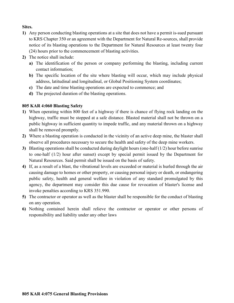### **Sites.**

- **1)** Any person conducting blasting operations at a site that does not have a permit is-sued pursuant to KRS Chapter 350 or an agreement with the Department for Natural Re-sources, shall provide notice of its blasting operations to the Department for Natural Resources at least twenty four (24) hours prior to the commencement of blasting activities.
- **2)** The notice shall include:
	- **a)** The identification of the person or company performing the blasting, including current contact information;
	- **b)** The specific location of the site where blasting will occur, which may include physical address, latitudinal and longitudinal, or Global Positioning System coordinates;
	- **c)** The date and time blasting operations are expected to commence; and
	- **d)** The projected duration of the blasting operations.

#### **805 KAR 4:060 Blasting Safety**

- **1)** When operating within 800 feet of a highway if there is chance of flying rock landing on the highway, traffic must be stopped at a safe distance. Blasted material shall not be thrown on a public highway in sufficient quantity to impede traffic, and any material thrown on a highway shall be removed promptly.
- **2)** Where a blasting operation is conducted in the vicinity of an active deep mine, the blaster shall observe all procedures necessary to secure the health and safety of the deep mine workers.
- **3)** Blasting operations shall be conducted during daylight hours (one-half (1/2) hour before sunrise to one-half (1/2) hour after sunset) except by special permit issued by the Department for Natural Resources. Said permit shall be issued on the basis of safety.
- **4)** If, as a result of a blast, the vibrational levels are exceeded or material is hurled through the air causing damage to homes or other property, or causing personal injury or death, or endangering public safety, health and general welfare in violation of any standard promulgated by this agency, the department may consider this due cause for revocation of blaster's license and invoke penalties according to KRS 351.990.
- **5)** The contractor or operator as well as the blaster shall be responsible for the conduct of blasting on any operation.
- **6)** Nothing contained herein shall relieve the contractor or operator or other persons of responsibility and liability under any other laws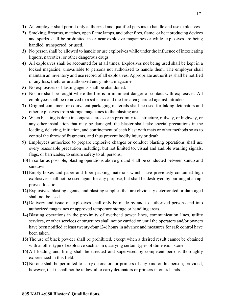- **1)** An employer shall permit only authorized and qualified persons to handle and use explosives.
- **2)** Smoking, firearms, matches, open flame lamps, and other fires, flame, or heat producing devices and sparks shall be prohibited in or near explosive magazines or while explosives are being handled, transported, or used.
- **3)** No person shall be allowed to handle or use explosives while under the influence of intoxicating liquors, narcotics, or other dangerous drugs.
- **4)** All explosives shall be accounted for at all times. Explosives not being used shall be kept in a locked magazine, unavailable to persons not authorized to handle them. The employer shall maintain an inventory and use record of all explosives. Appropriate authorities shall be notified of any loss, theft, or unauthorized entry into a magazine.
- **5)** No explosives or blasting agents shall be abandoned.
- **6)** No fire shall be fought where the fire is in imminent danger of contact with explosives. All employees shall be removed to a safe area and the fire area guarded against intruders.
- **7)** Original containers or equivalent packaging materials shall be used for taking detonators and other explosives from storage magazines to the blasting area.
- **8)** When blasting is done in congested areas or in proximity to a structure, railway, or highway, or any other installation that may be damaged, the blaster shall take special precautions in the loading, delaying, initiation, and confinement of each blast with mats or other methods so as to control the throw of fragments, and thus prevent bodily injury or death.
- **9)** Employees authorized to prepare explosive charges or conduct blasting operations shall use every reasonable precaution including, but not limited to, visual and audible warning signals, flags, or barricades, to ensure safety to all persons.
- **10)** In so far as possible, blasting operations above ground shall be conducted between sunup and sundown.
- **11)** Empty boxes and paper and fiber packing materials which have previously contained high explosives shall not be used again for any purpose, but shall be destroyed by burning at an approved location.
- **12)** Explosives, blasting agents, and blasting supplies that are obviously deteriorated or dam-aged shall not be used.
- **13)** Delivery and issue of explosives shall only be made by and to authorized persons and into authorized magazines or approved temporary storage or handling areas.
- **14)** Blasting operations in the proximity of overhead power lines, communication lines, utility services, or other services or structures shall not be carried on until the operators and/or owners have been notified at least twenty-four (24) hours in advance and measures for safe control have been taken.
- **15)** The use of black powder shall be prohibited, except when a desired result cannot be obtained with another type of explosive such as in quarrying certain types of dimension stone.
- **16)** All loading and firing shall be directed and supervised by competent persons thoroughly experienced in this field.
- **17)** No one shall be permitted to carry detonators or primers of any kind on his person; provided, however, that it shall not be unlawful to carry detonators or primers in one's hands.

#### **805 KAR 4:080 Blasters' Qualifications.**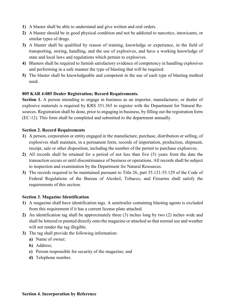- **1)** A blaster shall be able to understand and give written and oral orders.
- **2)** A blaster should be in good physical condition and not be addicted to narcotics, intoxicants, or similar types of drugs.
- **3)** A blaster shall be qualified by reason of training, knowledge or experience, in the field of transporting, storing, handling, and the use of explosives, and have a working knowledge of state and local laws and regulations which pertain to explosives.
- **4)** Blasters shall be required to furnish satisfactory evidence of competency in handling explosives and performing in a safe manner the type of blasting that will be required.
- **5)** The blaster shall be knowledgeable and competent in the use of each type of blasting method used.

#### **805 KAR 4:085 Dealer Registration; Record Requirements.**

Section 1. A person intending to engage in business as an importer, manufacturer, or dealer of explosive materials is required by KRS 351.365 to register with the Department for Natural Resources. Registration shall be done, prior to engaging in business, by filling out the registration form (EC-12). This form shall be completed and submitted to the department annually.

#### **Section 2. Record Requirements**

- **1)** A person, corporation or entity engaged in the manufacture, purchase, distribution or selling, of explosives shall maintain, in a permanent form, records of importation, production, shipment, receipt, sale or other disposition, including the number of the permit to purchase explosives.
- **2)** All records shall be retained for a period of not less than five (5) years from the date the transaction occurs or until discontinuance of business or operations. All records shall be subject to inspection and examination by the Department for Natural Resources.
- **3)** The records required to be maintained pursuant to Title 26, part 55.121-55.129 of the Code of Federal Regulations of the Bureau of Alcohol, Tobacco, and Firearms shall satisfy the requirements of this section.

#### **Section 3. Magazine Identification**

- **1)** A magazine shall have identification tags. A semitrailer containing blasting agents is excluded from this requirement if it has a current license plate attached.
- **2)** An identification tag shall be approximately three (3) inches long by two (2) inches wide and shall be lettered or painted directly onto the magazine or attached so that normal use and weather will not render the tag illegible.
- **3)** The tag shall provide the following information:
	- **a)** Name of owner;
	- **b)** Address;
	- **c)** Person responsible for security of the magazine; and
	- **d)** Telephone number.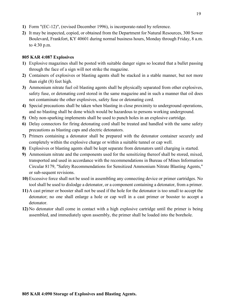- **1)** Form "(EC-12)", (revised December 1996), is incorporate-rated by reference.
- **2)** It may be inspected, copied, or obtained from the Department for Natural Resources, 300 Sower Boulevard, Frankfort, KY 40601 during normal business hours, Monday through Friday, 8 a.m. to 4:30 p.m.

#### **805 KAR 4:087 Explosives**

- **1)** Explosive magazines shall be posted with suitable danger signs so located that a bullet passing through the face of a sign will not strike the magazine.
- **2)** Containers of explosives or blasting agents shall be stacked in a stable manner, but not more than eight (8) feet high.
- **3)** Ammonium nitrate fuel oil blasting agents shall be physically separated from other explosives, safety fuse, or detonating cord stored in the same magazine and in such a manner that oil does not contaminate the other explosives, safety fuse or detonating cord.
- **4)** Special precautions shall be taken when blasting in close proximity to underground operations, and no blasting shall be done which would be hazardous to persons working underground.
- **5)** Only non-sparking implements shall be used to punch holes in an explosive cartridge.
- **6)** Delay connectors for firing detonating cord shall be treated and handled with the same safety precautions as blasting caps and electric detonators.
- **7)** Primers containing a detonator shall be prepared with the detonator container securely and completely within the explosive charge or within a suitable tunnel or cap well.
- **8)** Explosives or blasting agents shall be kept separate from detonators until charging is started.
- **9)** Ammonium nitrate and the components used for the sensitizing thereof shall be stored, mixed, transported and used in accordance with the recommendations in Bureau of Mines Information Circular 8179, "Safety Recommendations for Sensitized Ammonium Nitrate Blasting Agents," or sub-sequent revisions.
- **10)** Excessive force shall not be used in assembling any connecting device or primer cartridges. No tool shall be used to dislodge a detonator, or a component containing a detonator, from a primer.
- **11)** A cast primer or booster shall not be used if the hole for the detonator is too small to accept the detonator; no one shall enlarge a hole or cap well in a cast primer or booster to accept a detonator.
- **12)** No detonator shall come in contact with a high explosive cartridge until the primer is being assembled, and immediately upon assembly, the primer shall be loaded into the borehole.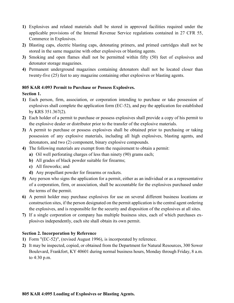- **1)** Explosives and related materials shall be stored in approved facilities required under the applicable provisions of the Internal Revenue Service regulations contained in 27 CFR 55, Commerce in Explosives.
- **2)** Blasting caps, electric blasting caps, detonating primers, and primed cartridges shall not be stored in the same magazine with other explosives or blasting agents.
- **3)** Smoking and open flames shall not be permitted within fifty (50) feet of explosives and detonator storage magazines.
- **4)** Permanent underground magazines containing detonators shall not be located closer than twenty-five (25) feet to any magazine containing other explosives or blasting agents.

#### **805 KAR 4:093 Permit to Purchase or Possess Explosives.**

#### **Section 1.**

- **1)** Each person, firm, association, or corporation intending to purchase or take possession of explosives shall complete the application form (EC-52), and pay the application fee established by KRS 351.367(2).
- **2)** Each holder of a permit to purchase or possess explosives shall provide a copy of his permit to the explosive dealer or distributor prior to the transfer of the explosive materials.
- **3)** A permit to purchase or possess explosives shall be obtained prior to purchasing or taking possession of any explosive materials, including all high explosives, blasting agents, and detonators, and two (2) component, binary explosive compounds.
- **4)** The following materials are exempt from the requirement to obtain a permit:
	- **a)** Oil well perforating charges of less than ninety (90) grams each;
	- **b)** All grades of black powder suitable for firearms;
	- **c)** All fireworks; and
	- **d)** Any propellant powder for firearms or rockets.
- **5)** Any person who signs the application for a permit, either as an individual or as a representative of a corporation, firm, or association, shall be accountable for the explosives purchased under the terms of the permit.
- **6)** A permit holder may purchase explosives for use on several different business locations or construction sites, if the person designated on the permit application is the central agent ordering the explosives, and is responsible for the security and disposition of the explosives at all sites.
- **7)** If a single corporation or company has multiple business sites, each of which purchases explosives independently, each site shall obtain its own permit.

#### **Section 2. Incorporation by Reference**

- **1)** Form "(EC-52)", (revised August 1996), is incorporated by reference.
- **2)** It may be inspected, copied, or obtained from the Department for Natural Resources, 300 Sower Boulevard, Frankfort, KY 40601 during normal business hours, Monday through Friday, 8 a.m. to 4:30 p.m.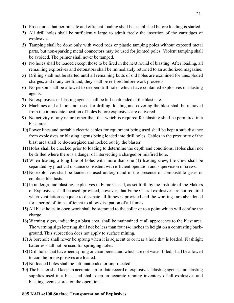- **1)** Procedures that permit safe and efficient loading shall be established before loading is started.
- **2)** All drill holes shall be sufficiently large to admit freely the insertion of the cartridges of explosives.
- **3)** Tamping shall be done only with wood rods or plastic tamping poles without exposed metal parts, but non-sparking metal connectors may be used for jointed poles. Violent tamping shall be avoided. The primer shall never be tamped.
- **4)** No holes shall be loaded except those to be fired in the next round of blasting. After loading, all remaining explosives and detonators shall be immediately returned to an authorized magazine.
- **5)** Drilling shall not be started until all remaining butts of old holes are examined for unexploded charges, and if any are found, they shall be re-fired before work proceeds.
- **6)** No person shall be allowed to deepen drill holes which have contained explosives or blasting agents.
- **7)** No explosives or blasting agents shall be left unattended at the blast site.
- **8)** Machines and all tools not used for drilling, loading and covering the blast shall be removed from the immediate location of holes before explosives are delivered.
- **9)** No activity of any nature other than that which is required for blasting shall be permitted in a blast area.
- **10)** Power lines and portable electric cables for equipment being used shall be kept a safe distance from explosives or blasting agents being loaded into drill holes. Cables in the proximity of the blast area shall be de-energized and locked out by the blaster.
- **11)** Holes shall be checked prior to loading to determine the depth and conditions. Holes shall not be drilled where there is a danger of intersecting a charged or misfired hole.
- **12)** When loading a long line of holes with more than one (1) loading crew, the crew shall be separated by practical distance consistent with efficient operation and supervision of crews.
- **13)** No explosives shall be loaded or used underground in the presence of combustible gases or combustible dusts.
- **14)** In underground blasting, explosives in Fume Class I, as set forth by the Institute of the Makers of Explosives, shall be used; provided, however, that Fume Class I explosives are not required when ventilation adequate to dissipate all fumes is provided and the workings are abandoned for a period of time sufficient to allow dissipation of all fumes.
- **15)** All blast holes in open work shall be stemmed to the collar or to a point which will confine the charge.
- **16)** Warning signs, indicating a blast area, shall be maintained at all approaches to the blast area. The warning sign lettering shall not be less than four (4) inches in height on a contrasting background. This subsection does not apply to surface mining.
- **17)** A borehole shall never be sprung when it is adjacent to or near a hole that is loaded. Flashlight batteries shall not be used for springing holes.
- **18)** Drill holes that have been sprung or chambered, and which are not water-filled, shall be allowed to cool before explosives are loaded.
- **19)** No loaded holes shall be left unattended or unprotected.
- **20)** The blaster shall keep an accurate, up-to-date record of explosives, blasting agents, and blasting supplies used in a blast and shall keep an accurate running inventory of all explosives and blasting agents stored on the operation.

## **805 KAR 4:100 Surface Transportation of Explosives.**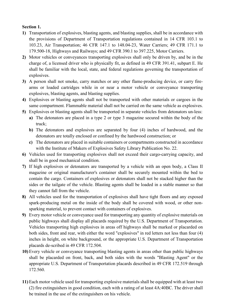#### **Section 1.**

- **1)** Transportation of explosives, blasting agents, and blasting supplies, shall be in accordance with the provisions of Department of Transportation regulations contained in 14 CFR 103.1 to 103.23, Air Transportation; 46 CFR 147.1 to 148.04-23, Water Carriers; 49 CFR 171.1 to 179.500-18, Highways and Railways; and 49 CFR 390.1 to 397.225, Motor Carriers.
- **2)** Motor vehicles or conveyances transporting explosives shall only be driven by, and be in the charge of, a licensed driver who is physically fit, as defined in 49 CFR 391.41, subpart E. He shall be familiar with the local, state, and federal regulations governing the transportation of explosives.
- **3)** A person shall not smoke, carry matches or any other flame-producing device, or carry firearms or loaded cartridges while in or near a motor vehicle or conveyance transporting explosives, blasting agents, and blasting supplies.
- **4)** Explosives or blasting agents shall not be transported with other materials or cargoes in the same compartment. Flammable material shall not be carried on the same vehicle as explosives.
- **5)** Explosives or blasting agents shall be transported in separate vehicles from detonators un-less:
	- **a)** The detonators are placed in a type 2 or type 3 magazine secured within the body of the truck;
	- **b)** The detonators and explosives are separated by four (4) inches of hardwood, and the detonators are totally enclosed or confined by the hardwood construction; or
	- **c)** The detonators are placed in suitable containers or compartments constructed in accordance with the Institute of Makers of Explosives Safety Library Publication No. 22.
- **6)** Vehicles used for transporting explosives shall not exceed their cargo-carrying capacity, and shall be in good mechanical condition.
- **7)** If high explosives or detonators are transported by a vehicle with an open body, a Class II magazine or original manufacturer's container shall be securely mounted within the bed to contain the cargo. Containers of explosives or detonators shall not be stacked higher than the sides or the tailgate of the vehicle. Blasting agents shall be loaded in a stable manner so that they cannot fall from the vehicle.
- **8)** All vehicles used for the transportation of explosives shall have tight floors and any exposed spark-producing metal on the inside of the body shall be covered with wood, or other nonsparking material, to prevent contact with containers of explosives.
- **9)** Every motor vehicle or conveyance used for transporting any quantity of explosive materials on public highways shall display all placards required by the U.S. Department of Transportation. Vehicles transporting high explosives in areas off highways shall be marked or placarded on both sides, front and rear, with either the word "explosives" in red letters not less than four (4) inches in height, on white background, or the appropriate U.S. Department of Transportation placards de-scribed in 49 CFR 172.504.
- **10)** Every vehicle or conveyance transporting blasting agents in areas other than public highways shall be placarded on front, back, and both sides with the words "Blasting Agent" or the appropriate U.S. Department of Transportation placards described in 49 CFR 172.519 through 172.560.
- **11)** Each motor vehicle used for transporting explosive materials shall be equipped with at least two (2) fire extinguishers in good condition, each with a rating of at least 4A:40BC. The driver shall be trained in the use of the extinguishers on his vehicle.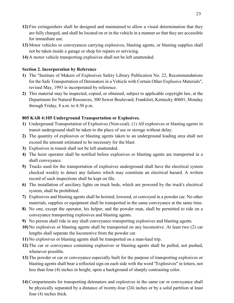- **12)** Fire extinguishers shall be designed and maintained to allow a visual determination that they are fully charged, and shall be located on or in the vehicle in a manner so that they are accessible for immediate use.
- **13)** Motor vehicles or conveyances carrying explosives, blasting agents, or blasting supplies shall not be taken inside a garage or shop for repairs or servicing.
- **14)** A motor vehicle transporting explosives shall not be left unattended.

#### **Section 2. Incorporation by Reference**

- **1)** The "Institute of Makers of Explosives Safety Library Publication No. 22, Recommendations for the Safe Transportation of Detonators in a Vehicle with Certain Other Explosive Materials", revised May, 1993 is incorporated by reference.
- **2)** This material may be inspected, copied, or obtained, subject to applicable copyright law, at the Department for Natural Resources, 300 Sower Boulevard, Frankfort, Kentucky 40601, Monday through Friday, 8 a.m. to 4:30 p.m.

## **805 KAR 4:105 Underground Transportation or Explosives.**

- **1)** Underground Transportation of Explosives (Non-coal). (1) All explosives or blasting agents in transit underground shall be taken to the place of use or storage without delay.
- **2)** The quantity of explosives or blasting agents taken to an underground loading area shall not exceed the amount estimated to be necessary for the blast.
- **3)** Explosives in transit shall not be left unattended.
- **4)** The hoist operator shall be notified before explosives or blasting agents are transported in a shaft conveyance.
- **5)** Trucks used for the transportation of explosives underground shall have the electrical system checked weekly to detect any failures which may constitute an electrical hazard. A written record of such inspections shall be kept on file.
- **6)** The installation of auxiliary lights on truck beds, which are powered by the truck's electrical system, shall be prohibited.
- **7)** Explosives and blasting agents shall be hoisted, lowered, or conveyed in a powder car. No other materials, supplies or equipment shall be transported in the same conveyance at the same time.
- **8)** No one, except the operator, his helper, and the powder man, shall be permitted to ride on a conveyance transporting explosives and blasting agents.
- **9)** No person shall ride in any shaft conveyance transporting explosives and blasting agents.
- **10)** No explosives or blasting agents shall be transported on any locomotive. At least two (2) car lengths shall separate the locomotive from the powder car.
- **11)** No explosives or blasting agents shall be transported on a man-haul trip.
- **12)** The car or conveyance containing explosives or blasting agents shall be pulled, not pushed, whenever possible.
- **13)** The powder or car or conveyance especially built for the purpose of transporting explosives or blasting agents shall bear a reflected sign on each side with the word "Explosives" in letters, not less than four (4) inches in height, upon a background of sharply contrasting color.
- **14)** Compartments for transporting detonators and explosives in the same car or conveyance shall be physically separated by a distance of twenty-four (24) inches or by a solid partition at least four (4) inches thick.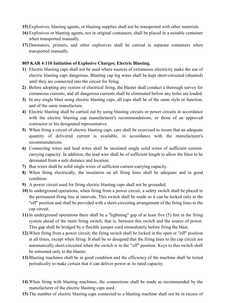- **15)** Explosives, blasting agents, or blasting supplies shall not be transported with other materials.
- **16)** Explosives or blasting agents, not in original containers, shall be placed in a suitable container when transported manually.
- **17)** Detonators, primers, and other explosives shall be carried in separate containers when transported manually.

#### **805 KAR 4:110 Initiation of Explosive Charges; Electric Blasting.**

- **1)** Electric blasting caps shall not be used where sources of extraneous electricity make the use of electric blasting caps dangerous. Blasting cap leg wires shall be kept short-circuited (shunted) until they are connected into the circuit for firing.
- **2)** Before adopting any system of electrical firing, the blaster shall conduct a thorough survey for extraneous currents, and all dangerous currents shall be eliminated before any holes are loaded.
- **3)** In any single blast using electric blasting caps, all caps shall be of the same style or function, and of the same manufacture.
- **4)** Electric blasting shall be carried out by using blasting circuits or power circuits in accordance with the electric blasting cap manufacturer's recommendations, or those of an approved contractor or his designated representative.
- **5)** When firing a circuit of electric blasting caps, care shall be exercised to insure that an adequate quantity of delivered current is available, in accordance with the manufacturer's recommendations.
- **6)** Connecting wires and lead wires shall be insulated single solid wires of sufficient currentcarrying capacity. In addition, the lead wire shall be of sufficient length to allow the blast to be detonated from a safe distance and location.
- **7)** Bus wires shall be solid single wires of sufficient current-carrying capacity.
- **8)** When firing electrically, the insulation on all firing lines shall be adequate and in good condition.
- **9)** A power circuit used for firing electric blasting caps shall not be grounded.
- **10)** In underground operations, when firing from a power circuit, a safety switch shall be placed in the permanent firing line at intervals. This switch shall be made so it can be locked only in the "off" position and shall be provided with a short-circuiting arrangement of the firing lines to the cap circuit.
- **11)** In underground operations there shall be a "lightning" gap of at least five (5) feet in the firing system ahead of the main firing switch; that is, between this switch and the source of power. This gap shall be bridged by a flexible jumper cord immediately before firing the blast.
- **12)** When firing from a power circuit, the firing switch shall be locked in the open or "off" position at all times, except when firing. It shall be so designed that the firing lines to the cap circuit are automatically short-circuited when the switch is in the "off" position. Keys to this switch shall be entrusted only to the blaster.
- **13)** Blasting machines shall be in good condition and the efficiency of the machine shall be tested periodically to make certain that it can deliver power at its rated capacity.
- **14)** When firing with blasting machines, the connections shall be made as recommended by the manufacturer of the electric blasting caps used.
- **15)** The number of electric blasting caps connected to a blasting machine shall not be in excess of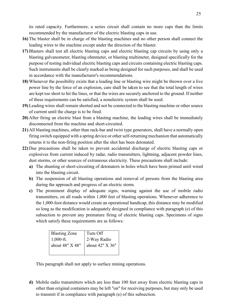its rated capacity. Furthermore, a series circuit shall contain no more caps than the limits recommended by the manufacturer of the electric blasting caps in use.

- **16)** The blaster shall be in charge of the blasting machines and no other person shall connect the leading wires to the machine except under the direction of the blaster.
- **17)** Blasters shall test all electric blasting caps and electric blasting cap circuits by using only a blasting galvanometer, blasting ohmmeter, or blasting multimeter, designed specifically for the purpose of testing individual electric blasting caps and circuits containing electric blasting caps. Such instruments shall be clearly marked as being designed for such purposes, and shall be used in accordance with the manufacturer's recommendations.
- **18)** Whenever the possibility exists that a leading line or blasting wire might be thrown over a live power line by the force of an explosion, care shall be taken to see that the total length of wires are kept too short to hit the lines, or that the wires are securely anchored to the ground. If neither of these requirements can be satisfied, a nonelectric system shall be used.
- **19)** Leading wires shall remain shorted and not be connected to the blasting machine or other source of current until the charge is to be fired.
- **20)** After firing an electric blast from a blasting machine, the leading wires shall be immediately disconnected from the machine and short-circuited.
- **21)** All blasting machines, other than rack-bar and twist type generators, shall have a normally open firing switch equipped with a spring device or other self-returning mechanism that automatically returns it to the non-firing position after the shot has been detonated.
- **22)** Due precautions shall be taken to prevent accidental discharge of electric blasting caps or explosives from current induced by radar, radio transmitters, lightning, adjacent powder lines, dust storms, or other sources of extraneous electricity. These precautions shall include:
	- **a)** The shunting or short-circuiting of detonators in holes which have been primed until wired into the blasting circuit.
	- **b)** The suspension of all blasting operations and removal of persons from the blasting area during the approach and progress of an electric storm.
	- **c)** The prominent display of adequate signs, warning against the use of mobile radio transmitters, on all roads within 1,000 feet of blasting operations. Whenever adherence to the 1,000-foot distance would create an operational handicap, this distance may be modified so long as the modification is adequately designed in compliance with paragraph (e) of this subsection to prevent any premature firing of electric blasting caps. Specimens of signs which satisfy these requirements are as follows:

| <b>Blasting Zone</b> | Turn Off          |
|----------------------|-------------------|
| $1,000$ -ft.         | 2-Way Radio       |
| about 48" X 48"      | about $42" X 36"$ |
|                      |                   |

This paragraph shall not apply to surface mining operations.

**d)** Mobile radio transmitters which are less than 100 feet away from electric blasting caps in other than original containers may be left "on" for receiving purposes, but may only be used to transmit if in compliance with paragraph (e) of this subsection.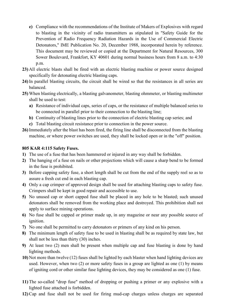- **e)** Compliance with the recommendations of the Institute of Makers of Explosives with regard to blasting in the vicinity of radio transmitters as stipulated in "Safety Guide for the Prevention of Radio Frequency Radiation Hazards in the Use of Commercial Electric Detonators," IME Publication No. 20, December 1988, incorporated herein by reference. This document may be reviewed or copied at the Department for Natural Resources, 300 Sower Boulevard, Frankfort, KY 40601 during normal business hours from 8 a.m. to 4:30 p.m.
- **23)** All electric blasts shall be fired with an electric blasting machine or power source designed specifically for detonating electric blasting caps.
- **24)** In parallel blasting circuits, the circuit shall be wired so that the resistances in all series are balanced.
- **25)** When blasting electrically, a blasting galvanometer, blasting ohmmeter, or blasting multimeter shall be used to test:
	- **a)** Resistance of individual caps, series of caps, or the resistance of multiple balanced series to be connected in parallel prior to their connection to the blasting line;
	- **b)** Continuity of blasting lines prior to the connection of electric blasting cap series; and
	- **c)** Total blasting circuit resistance prior to connection in the power source.
- **26)** Immediately after the blast has been fired, the firing line shall be disconnected from the blasting machine, or where power switches are used, they shall be locked open or in the "off" position.

#### **805 KAR 4:115 Safety Fuses.**

- **1)** The use of a fuse that has been hammered or injured in any way shall be forbidden.
- **2)** The hanging of a fuse on nails or other projections which will cause a sharp bend to be formed in the fuse is prohibited.
- **3)** Before capping safety fuse, a short length shall be cut from the end of the supply reel so as to assure a fresh cut end in each blasting cap.
- **4)** Only a cap crimper of approved design shall be used for attaching blasting caps to safety fuse. Crimpers shall be kept in good repair and accessible to use.
- **5)** No unused cap or short capped fuse shall be placed in any hole to be blasted; such unused detonators shall be removed from the working place and destroyed. This prohibition shall not apply to surface mining operations.
- **6)** No fuse shall be capped or primer made up, in any magazine or near any possible source of ignition.
- **7)** No one shall be permitted to carry detonators or primers of any kind on his person.
- **8)** The minimum length of safety fuse to be used in blasting shall be as required by state law, but shall not be less than thirty (30) inches.
- **9)** At least two (2) men shall be present when multiple cap and fuse blasting is done by hand lighting methods.
- **10)** Not more than twelve (12) fuses shall be lighted by each blaster when hand lighting devices are used. However, when two (2) or more safety fuses in a group are lighted as one (1) by means of igniting cord or other similar fuse lighting devices, they may be considered as one (1) fuse.
- **11)** The so-called "drop fuse" method of dropping or pushing a primer or any explosive with a lighted fuse attached is forbidden.
- **12)** Cap and fuse shall not be used for firing mud-cap charges unless charges are separated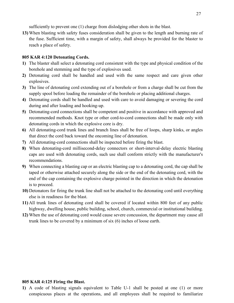sufficiently to prevent one (1) charge from dislodging other shots in the blast.

**13)** When blasting with safety fuses consideration shall be given to the length and burning rate of the fuse. Sufficient time, with a margin of safety, shall always be provided for the blaster to reach a place of safety.

#### **805 KAR 4:120 Detonating Cords.**

- **1)** The blaster shall select a detonating cord consistent with the type and physical condition of the borehole and stemming and the type of explosives used.
- **2)** Detonating cord shall be handled and used with the same respect and care given other explosives.
- **3)** The line of detonating cord extending out of a borehole or from a charge shall be cut from the supply spool before loading the remainder of the borehole or placing additional charges.
- **4)** Detonating cords shall be handled and used with care to avoid damaging or severing the cord during and after loading and hooking-up.
- **5)** Detonating-cord connections shall be competent and positive in accordance with approved and recommended methods. Knot type or other cord-to-cord connections shall be made only with detonating cords in which the explosive core is dry.
- **6)** All detonating-cord trunk lines and branch lines shall be free of loops, sharp kinks, or angles that direct the cord back toward the oncoming line of detonation.
- **7)** All detonating-cord connections shall be inspected before firing the blast.
- **8)** When detonating-cord millisecond-delay connectors or short-interval-delay electric blasting caps are used with detonating cords, such use shall conform strictly with the manufacturer's recommendations.
- **9)** When connecting a blasting cap or an electric blasting cap to a detonating cord, the cap shall be taped or otherwise attached securely along the side or the end of the detonating cord, with the end of the cap containing the explosive charge pointed in the direction in which the detonation is to proceed.
- **10)** Detonators for firing the trunk line shall not be attached to the detonating cord until everything else is in readiness for the blast.
- **11)** All trunk lines of detonating cord shall be covered if located within 800 feet of any public highway, dwelling house, public building, school, church, commercial or institutional building.
- **12)** When the use of detonating cord would cause severe concussion, the department may cause all trunk lines to be covered by a minimum of six (6) inches of loose earth.

#### **805 KAR 4:125 Firing the Blast.**

**1)** A code of blasting signals equivalent to Table U-1 shall be posted at one (1) or more conspicuous places at the operations, and all employees shall be required to familiarize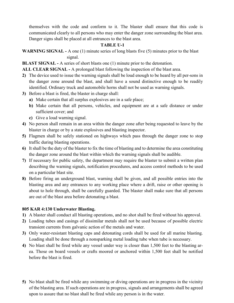themselves with the code and conform to it. The blaster shall ensure that this code is communicated clearly to all persons who may enter the danger zone surrounding the blast area. Danger signs shall be placed at all entrances to the blast area.

### **TABLE U-1**

**WARNING SIGNAL -** A one (1) minute series of long blasts five (5) minutes prior to the blast signal.

**BLAST SIGNAL -** A series of short blasts one (1) minute prior to the detonation.

**ALL CLEAR SIGNAL -** A prolonged blast following the inspection of the blast area.

- **2)** The device used to issue the warning signals shall be loud enough to be heard by all per-sons in the danger zone around the blast, and shall have a sound distinctive enough to be readily identified. Ordinary truck and automobile horns shall not be used as warning signals.
- **3)** Before a blast is fired, the blaster in charge shall:
	- **a)** Make certain that all surplus explosives are in a safe place;
	- **b)** Make certain that all persons, vehicles, and equipment are at a safe distance or under sufficient cover; and
	- **c)** Give a loud warning signal.
- **4)** No person shall remain in an area within the danger zone after being requested to leave by the blaster in charge or by a state explosives and blasting inspector.
- **5)** Flagmen shall be safely stationed on highways which pass through the danger zone to stop traffic during blasting operations.
- **6)** It shall be the duty of the blaster to fix the time of blasting and to determine the area constituting the danger zone around the blast within which the warning signals shall be audible.
- **7)** If necessary for public safety, the department may require the blaster to submit a written plan describing the warning signals, notification procedures, and access control methods to be used on a particular blast site.
- **8)** Before firing an underground blast, warning shall be given, and all possible entries into the blasting area and any entrances to any working place where a drift, raise or other opening is about to hole through, shall be carefully guarded. The blaster shall make sure that all persons are out of the blast area before detonating a blast.

#### **805 KAR 4:130 Underwater Blasting.**

- **1)** A blaster shall conduct all blasting operations, and no shot shall be fired without his approval.
- **2)** Loading tubes and casings of dissimilar metals shall not be used because of possible electric transient currents from galvanic action of the metals and water.
- **3)** Only water-resistant blasting caps and detonating cords shall be used for all marine blasting. Loading shall be done through a nonsparking metal loading tube when tube is necessary.
- **4)** No blast shall be fired while any vessel under way is closer than 1,500 feet to the blasting area. Those on board vessels or crafts moored or anchored within 1,500 feet shall be notified before the blast is fired.
- **5)** No blast shall be fired while any swimming or diving operations are in progress in the vicinity of the blasting area. If such operations are in progress, signals and arrangements shall be agreed upon to assure that no blast shall be fired while any person is in the water.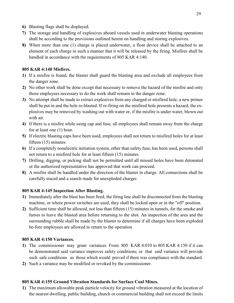- **6)** Blasting flags shall be displayed.
- **7)** The storage and handling of explosives aboard vessels used in underwater blasting operations shall be according to the provisions outlined herein on handling and storing explosives.
- **8)** When more than one (1) charge is placed underwater, a float device shall be attached to an element of each charge in such a manner that it will be released by the firing. Misfires shall be handled in accordance with the requirements of 805 KAR 4:140.

## **805 KAR 4:140 Misfires.**

- **1)** If a misfire is found, the blaster shall guard the blasting area and exclude all employees from the danger zone.
- **2)** No other work shall be done except that necessary to remove the hazard of the misfire and only those employees necessary to do the work shall remain in the danger zone.
- **3)** No attempt shall be made to extract explosives from any charged or misfired hole; a new primer shall be put in and the hole re-blasted. If re-firing on the misfired hole presents a hazard, the explosives may be removed by washing out with water or, if the misfire is under water, blown out with air.
- **4)** If there is a misfire while using cap and fuse, all employees shall remain away from the charge for at least one (1) hour.
- **5)** If electric blasting caps have been used, employees shall not return to misfired holes for at least fifteen (15) minutes.
- **6)** If a completely nonelectric initiation system, other than safety fuse, has been used, persons shall not return to a misfired hole for at least fifteen (15) minutes.
- **7)** Drilling, digging, or picking shall not be permitted until all missed holes have been detonated or the authorized representative has approved that work can proceed.
- **8)** A misfire shall be handled under the direction of the blaster in charge. All connections shall be carefully traced and a search made for unexploded charges

## **805 KAR 4:145 Inspection After Blasting.**

- **1)** Immediately after the blast has been fired, the firing line shall be disconnected from the blasting machine, or where power switches are used, they shall be locked open or in the "off" position.
- **2)** Sufficient time shall be allowed, not less than fifteen (15) minutes in tunnels, for the smoke and fumes to leave the blasted area before returning to the shot. An inspection of the area and the surrounding rubble shall be made by the blaster to determine if all charges have been exploded be-fore employees are allowed to return to the operation

## **805 KAR 4:150 Variances.**

- **1)** The commissioner may grant variances From 805 KAR 4:010 to 805 KAR 4:150 if it can be demonstrated said variance improves safety conditions; or that said variance will provide such safe conditions as those which would prevail if there was compliance with the standard.
- **2)** Such a variance may be modified or revoked by the commissioner.

## **805 KAR 4:155 Ground Vibration Standards for Surface Coal Mines.**

**1)** The maximum allowable peak particle velocity for ground vibration measured at the location of the nearest dwelling, public building, church or commercial building shall not exceed the limits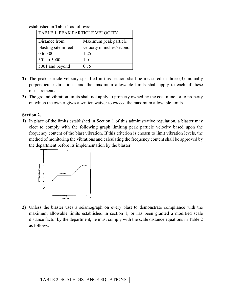| <b>TABLE 1. PEAK PARTICLE VELOCITY</b> |                           |  |  |  |
|----------------------------------------|---------------------------|--|--|--|
| Distance from                          | Maximum peak particle     |  |  |  |
| blasting site in feet                  | velocity in inches/second |  |  |  |
| 0 to 300                               | 1.25                      |  |  |  |
| 301 to 5000                            | 1.0                       |  |  |  |
| 5001 and beyond                        | 0.75                      |  |  |  |

established in Table 1 as follows:

- **2)** The peak particle velocity specified in this section shall be measured in three (3) mutually perpendicular directions, and the maximum allowable limits shall apply to each of these measurements.
- **3)** The ground vibration limits shall not apply to property owned by the coal mine, or to property on which the owner gives a written waiver to exceed the maximum allowable limits.

#### **Section 2.**

**1)** In place of the limits established in Section 1 of this administrative regulation, a blaster may elect to comply with the following graph limiting peak particle velocity based upon the frequency content of the blast vibration. If this criterion is chosen to limit vibration levels, the method of monitoring the vibrations and calculating the frequency content shall be approved by the department before its implementation by the blaster.



**2)** Unless the blaster uses a seismograph on every blast to demonstrate compliance with the maximum allowable limits established in section 1, or has been granted a modified scale distance factor by the department, he must comply with the scale distance equations in Table 2 as follows:

#### TABLE 2. SCALE DISTANCE EQUATIONS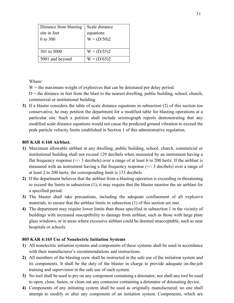| Distance from blasting | Scale distance |
|------------------------|----------------|
| site in feet           | equations      |
| 0 to 300               | $W = (D/50)2$  |
|                        |                |
| 301 to 5000            | $W = (D/55)2$  |
| 5001 and beyond        | $W = (D/65)2$  |

Where:

 $W =$  the maximum weight of explosives that can be detonated per delay period.

 $D =$  the distance in feet from the blast to the nearest dwelling, public building, school, church, commercial or institutional building.

**3)** If a blaster considers the table of scale distance equations in subsection (2) of this section too conservative, he may petition the department for a modified table for blasting operations at a particular site. Such a petition shall include seismograph reports demonstrating that any modified scale distance equations would not cause the predicted ground vibration to exceed the peak particle velocity limits established in Section 1 of this administrative regulation.

#### **805 KAR 4:160 Airblast.**

- **1)** Maximum allowable airblast at any dwelling, public building, school, church, commercial or institutional building shall not exceed 129 decibels when measured by an instrument having a flat frequency response  $(+/- 3$  decibels) over a range of at least 6 to 200 hertz. If the airblast is measured with an instrument having a flat frequency response (+/- 3 decibels) over a range of at least 2 to 200 hertz, the corresponding limit is 133 decibels.
- **2)** If the department believes that the airblast from a blasting operation is exceeding or threatening to exceed the limits in subsection (1), it may require that the blaster monitor the air airblast for a specified period.
- **3)** The blaster shall take precautions, including the adequate confinement of all explosive materials, to ensure that the airblast limits in subsection (1) of this section are met.
- **4)** The department may require lower limits than those specified in subsection 1 in the vicinity of buildings with increased susceptibility to damage from airblast, such as those with large plate glass windows, or in areas where excessive airblast could be deemed unacceptable, such as near hospitals or schools.

#### **805 KAR 4:165 Use of Nonelectric Initiation Systems**

- **1)** All nonelectric initiation systems and components of these systems shall be used in accordance with their manufacturer's recommendations and instructions.
- **2)** All members of the blasting crew shall be instructed in the safe use of the initiation system and its components. It shall be the duty of the blaster in charge to provide adequate on-the-job training and supervision in the safe use of such system.
- **3)** No tool shall be used to pry on any component containing a detonator, nor shall any tool be used to open, close, fasten, or clean out any connector containing a detonator of detonating device.
- **4)** Components of any initiating system shall be used as originally manufactured; no one shall attempt to modify or alter any component of an initiation system. Components, which are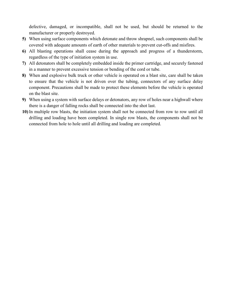defective, damaged, or incompatible, shall not be used, but should be returned to the manufacturer or properly destroyed.

- **5)** When using surface components which detonate and throw shrapnel, such components shall be covered with adequate amounts of earth of other materials to prevent cut-offs and misfires.
- **6)** All blasting operations shall cease during the approach and progress of a thunderstorm, regardless of the type of initiation system in use.
- **7)** All detonators shall be completely embedded inside the primer cartridge, and securely fastened in a manner to prevent excessive tension or bending of the cord or tube.
- **8)** When and explosive bulk truck or other vehicle is operated on a blast site, care shall be taken to ensure that the vehicle is not driven over the tubing, connectors of any surface delay component. Precautions shall be made to protect these elements before the vehicle is operated on the blast site.
- **9)** When using a system with surface delays or detonators, any row of holes near a highwall where there is a danger of falling rocks shall be connected into the shot last.
- **10)** In multiple row blasts, the initiation system shall not be connected from row to row until all drilling and loading have been completed. In single row blasts, the components shall not be connected from hole to hole until all drilling and loading are completed.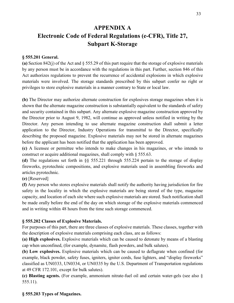# **APPENDIX A Electronic Code of Federal Regulations (e-CFR), Title 27, Subpart K-Storage**

#### **§ 555.201 General.**

**(a)** Section 842(j) of the Act and § 555.29 of this part require that the storage of explosive materials by any person must be in accordance with the regulations in this part. Further, section 846 of this Act authorizes regulations to prevent the recurrence of accidental explosions in which explosive materials were involved. The storage standards prescribed by this subpart confer no right or privileges to store explosive materials in a manner contrary to State or local law.

**(b)** The Director may authorize alternate construction for explosives storage magazines when it is shown that the alternate magazine construction is substantially equivalent to the standards of safety and security contained in this subpart. Any alternate explosive magazine construction approved by the Director prior to August 9, 1982, will continue as approved unless notified in writing by the Director. Any person intending to use alternate magazine construction shall submit a letter application to the Director, Industry Operations for transmittal to the Director, specifically describing the proposed magazine. Explosive materials may not be stored in alternate magazines before the applicant has been notified that the application has been approved.

**(c)** A licensee or permittee who intends to make changes in his magazines, or who intends to construct or acquire additional magazines, shall comply with § 555.63.

**(d)** The regulations set forth in §§ 555.221 through 555.224 pertain to the storage of display fireworks, pyrotechnic compositions, and explosive materials used in assembling fireworks and articles pyrotechnic.

**(e)** [Reserved]

**(f)** Any person who stores explosive materials shall notify the authority having jurisdiction for fire safety in the locality in which the explosive materials are being stored of the type, magazine capacity, and location of each site where such explosive materials are stored. Such notification shall be made orally before the end of the day on which storage of the explosive materials commenced and in writing within 48 hours from the time such storage commenced.

#### **§ 555.202 Classes of Explosive Materials.**

For purposes of this part, there are three classes of explosive materials. These classes, together with the description of explosive materials comprising each class, are as follows:

**(a) High explosives.** Explosive materials which can be caused to detonate by means of a blasting cap when unconfined, (for example, dynamite, flash powders, and bulk salutes).

**(b) Low explosives.** Explosive materials which can be caused to deflagrate when confined (for example, black powder, safety fuses, igniters, igniter cords, fuse lighters, and "display fireworks" classified as UN0333, UN0334, or UN0335 by the U.S. Department of Transportation regulations at 49 CFR 172.101, except for bulk salutes).

**(c) Blasting agents.** (For example, ammonium nitrate-fuel oil and certain water-gels (see also § 555.11).

#### **§ 555.203 Types of Magazines.**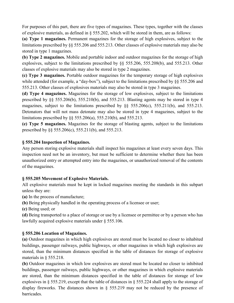For purposes of this part, there are five types of magazines. These types, together with the classes of explosive materials, as defined in § 555.202, which will be stored in them, are as follows:

**(a) Type 1 magazines.** Permanent magazines for the storage of high explosives, subject to the limitations prescribed by §§ 555.206 and 555.213. Other classes of explosive materials may also be stored in type 1 magazines.

**(b) Type 2 magazines.** Mobile and portable indoor and outdoor magazines for the storage of high explosives, subject to the limitations prescribed by §§ 555.206, 555.208(b), and 555.213. Other classes of explosive materials may also be stored in type 2 magazines.

**(c) Type 3 magazines.** Portable outdoor magazines for the temporary storage of high explosives while attended (for example, a "day-box"), subject to the limitations prescribed by §§ 555.206 and 555.213. Other classes of explosives materials may also be stored in type 3 magazines.

**(d) Type 4 magazines.** Magazines for the storage of low explosives, subject to the limitations prescribed by §§ 555.206(b), 555.210(b), and 555.213. Blasting agents may be stored in type 4 magazines, subject to the limitations prescribed by §§ 555.206(c), 555.211(b), and 555.213. Detonators that will not mass detonate may also be stored in type 4 magazines, subject to the limitations prescribed by §§ 555.206(a), 555.210(b), and 555.213.

**(e) Type 5 magazines.** Magazines for the storage of blasting agents, subject to the limitations prescribed by §§ 555.206(c), 555.211(b), and 555.213.

## **§ 555.204 Inspection of Magazines.**

Any person storing explosive materials shall inspect his magazines at least every seven days. This inspection need not be an inventory, but must be sufficient to determine whether there has been unauthorized entry or attempted entry into the magazines, or unauthorized removal of the contents of the magazines.

## **§ 555.205 Movement of Explosive Materials.**

All explosive materials must be kept in locked magazines meeting the standards in this subpart unless they are:

**(a)** In the process of manufacture;

**(b)** Being physically handled in the operating process of a licensee or user;

**(c)** Being used; or

**(d)** Being transported to a place of storage or use by a licensee or permittee or by a person who has lawfully acquired explosive materials under § 555.106.

## **§ 555.206 Location of Magazines.**

**(a)** Outdoor magazines in which high explosives are stored must be located no closer to inhabited buildings, passenger railways, public highways, or other magazines in which high explosives are stored, than the minimum distances specified in the table of distances for storage of explosive materials in § 555.218.

**(b)** Outdoor magazines in which low explosives are stored must be located no closer to inhibited buildings, passenger railways, public highways, or other magazines in which explosive materials are stored, than the minimum distances specified in the table of distances for storage of low explosives in § 555.219, except that the table of distances in § 555.224 shall apply to the storage of display fireworks. The distances shown in § 555.219 may not be reduced by the presence of barricades.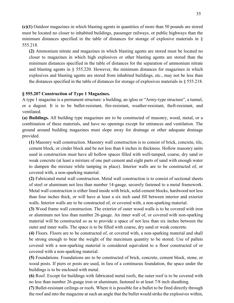**(c)(1)** Outdoor magazines in which blasting agents in quantities of more than 50 pounds are stored must be located no closer to inhabited buildings, passenger railways, or public highways than the minimum distances specified in the table of distances for storage of explosive materials in § 555.218.

**(2)** Ammonium nitrate and magazines in which blasting agents are stored must be located no closer to magazines in which high explosives or other blasting agents are stored than the minimum distances specified in the table of distances for the separation of ammonium nitrate and blasting agents in § 555.220. However, the minimum distances for magazines in which explosives and blasting agents are stored from inhabited buildings, etc., may not be less than the distances specified in the table of distances for storage of explosives materials in § 555.218.

#### **§ 555.207 Construction of Type 1 Magazines.**

A type 1 magazine is a permanent structure: a building, an igloo or "Army-type structure", a tunnel, or a dugout. It is to be bullet-resistant, fire-resistant, weather-resistant, theft-resistant, and ventilated.

**(a) Buildings.** All building type magazines are to be constructed of masonry, wood, metal, or a combination of these materials, and have no openings except for entrances and ventilation. The ground around building magazines must slope away for drainage or other adequate drainage provided.

**(1)** Masonry wall construction. Masonry wall construction is to consist of brick, concrete, tile, cement block, or cinder block and be not less than 6 inches in thickness. Hollow masonry units used in construction must have all hollow spaces filled with well-tamped, coarse, dry sand or weak concrete (at least a mixture of one part cement and eight parts of sand with enough water to dampen the mixture while tamping in place). Interior walls are to be constructed of, or covered with, a non-sparking material.

**(2)** Fabricated metal wall construction. Metal wall construction is to consist of sectional sheets of steel or aluminum not less than number 14-gauge, securely fastened to a metal framework. Metal wall construction is either lined inside with brick, solid cement blocks, hardwood not less than four inches thick, or will have at least a six inch sand fill between interior and exterior walls. Interior walls are to be constructed of, or covered with, a non-sparking material.

**(3)** Wood frame wall construction. The exterior of outer wood walls is to be covered with iron or aluminum not less than number 26-gauge. An inner wall of, or covered with non-sparking material will be constructed so as to provide a space of not less than six inches between the outer and inner walls. The space is to be filled with coarse, dry sand or weak concrete.

**(4)** Floors. Floors are to be constructed of, or covered with, a non-sparking material and shall be strong enough to bear the weight of the maximum quantity to be stored. Use of pallets covered with a non-sparking material is considered equivalent to a floor constructed of or covered with a non-sparking material.

**(5)** Foundations. Foundations are to be constructed of brick, concrete, cement block, stone, or wood posts. If piers or posts are used, in lieu of a continuous foundation, the space under the buildings is to be enclosed with metal.

**(6)** Roof. Except for buildings with fabricated metal roofs, the outer roof is to be covered with no less than number 26-guage iron or aluminum, fastened to at least 7/8 inch sheathing.

**(7)** Bullet-resistant ceilings or roofs. Where it is possible for a bullet to be fired directly through the roof and into the magazine at such an angle that the bullet would strike the explosives within,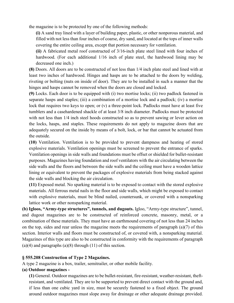the magazine is to be protected by one of the following methods:

**(i)** A sand tray lined with a layer of building paper, plastic, or other nonporous material, and filled with not less than four inches of coarse, dry sand, and located at the tops of inner walls covering the entire ceiling area, except that portion necessary for ventilation.

**(ii)** A fabricated metal roof constructed of 3/16-inch plate steel lined with four inches of hardwood. (For each additional 1/16 inch of plate steel, the hardwood lining may be decreased one inch.)

**(8)** Doors. All doors are to be constructed of not less than 1/4 inch plate steel and lined with at least two inches of hardwood. Hinges and hasps are to be attached to the doors by welding, riveting or bolting (nuts on inside of door). They are to be installed in such a manner that the hinges and hasps cannot be removed when the doors are closed and locked.

**(9)** Locks. Each door is to be equipped with (i) two mortise locks; (ii) two padlock fastened in separate hasps and staples; (iii) a combination of a mortise lock and a padlock; (iv) a mortise lock that requires two keys to open; or  $(v)$  a three-point lock. Padlocks must have at least five tumblers and a casehardened shackle of at least 3/8 inch diameter. Padlocks must be protected with not less than 1/4 inch steel hoods constructed so as to prevent sawing or lever action on the locks, hasps, and staples. These requirements do not apply to magazine doors that are adequately secured on the inside by means of a bolt, lock, or bar that cannot be actuated from the outside.

**(10)** Ventilation. Ventilation is to be provided to prevent dampness and heating of stored explosive materials. Ventilation openings must be screened to prevent the entrance of sparks. Ventilation openings in side walls and foundations must be offset or shielded for bullet-resistant purposes. Magazines having foundation and roof ventilators with the air circulating between the side walls and the floors and between the side walls and the ceiling must have a wooden lattice lining or equivalent to prevent the packages of explosive materials from being stacked against the side walls and blocking the air circulation.

**(11)** Exposed metal. No sparking material is to be exposed to contact with the stored explosive materials. All ferrous metal nails in the floor and side walls, which might be exposed to contact with explosive materials, must be blind nailed, countersunk, or covered with a nonsparking lattice work or other nonsparking material.

**(b) Igloos, "Army-type structures", tunnels, and dugouts.** Igloo, "Army-type structure", tunnel, and dugout magazines are to be constructed of reinforced concrete, masonry, metal, or a combination of these materials. They must have an earthmound covering of not less than 24 inches on the top, sides and rear unless the magazine meets the requirements of paragraph (a)(7) of this section. Interior walls and floors must be constructed of, or covered with, a nonsparking material. Magazines of this type are also to be constructed in conformity with the requirements of paragraph  $(a)(4)$  and paragraphs  $(a)(8)$  through  $(11)$  of this section.

#### **§ 555.208 Construction of Type 2 Magazines.**

A type 2 magazine is a box, trailer, semitrailer, or other mobile facility.

#### **(a) Outdoor magazines -**

**(1)** General. Outdoor magazines are to be bullet-resistant, fire-resistant, weather-resistant, theftresistant, and ventilated. They are to be supported to prevent direct contact with the ground and, if less than one cubic yard in size, must be securely fastened to a fixed object. The ground around outdoor magazines must slope away for drainage or other adequate drainage provided.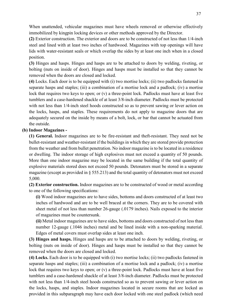When unattended, vehicular magazines must have wheels removed or otherwise effectively immobilized by kingpin locking devices or other methods approved by the Director.

**(2)** Exterior construction. The exterior and doors are to be constructed of not less than 1/4-inch steel and lined with at least two inches of hardwood. Magazines with top openings will have lids with water-resistant seals or which overlap the sides by at least one inch when in a closed position.

**(3)** Hinges and hasps. Hinges and hasps are to be attached to doors by welding, riveting, or bolting (nuts on inside of door). Hinges and hasps must be installed so that they cannot be removed when the doors are closed and locked.

**(4)** Locks. Each door is to be equipped with (i) two mortise locks; (ii) two padlocks fastened in separate hasps and staples; (iii) a combination of a mortise lock and a padlock; (iv) a mortise lock that requires two keys to open; or (v) a three-point lock. Padlocks must have at least five tumblers and a case-hardened shackle of at least 3/8-inch diameter. Padlocks must be protected with not less than 1/4-inch steel hoods constructed so as to prevent sawing or lever action on the locks, hasps, and staples. These requirements do not apply to magazine doors that are adequately secured on the inside by means of a bolt, lock, or bar that cannot be actuated from the outside.

#### **(b) Indoor Magazines -**

**(1) General.** Indoor magazines are to be fire-resistant and theft-resistant. They need not be bullet-resistant and weather-resistant if the buildings in which they are stored provide protection from the weather and from bullet penetration. No indoor magazine is to be located in a residence or dwelling. The indoor storage of high explosives must not exceed a quantity of 50 pounds. More than one indoor magazine may be located in the same building if the total quantity of explosive materials stored does not exceed 50 pounds. Detonators must be stored in a separate magazine (except as provided in  $\S 555.213$ ) and the total quantity of detonators must not exceed 5,000.

**(2) Exterior construction.** Indoor magazines are to be constructed of wood or metal according to one of the following specifications:

**(i)** Wood indoor magazines are to have sides, bottoms and doors constructed of at least two inches of hardwood and are to be well braced at the corners. They are to be covered with sheet metal of not less than number 26-gauge (.0179 inches). Nails exposed to the interior of magazines must be countersunk.

**(ii)** Metal indoor magazines are to have sides, bottoms and doors constructed of not less than number 12-gauge (.1046 inches) metal and be lined inside with a non-sparking material. Edges of metal covers must overlap sides at least one inch.

**(3) Hinges and hasps.** Hinges and hasps are to be attached to doors by welding, riveting, or bolting (nuts on inside of door). Hinges and hasps must be installed so that they cannot be removed when the doors are closed and locked.

**(4) Locks.** Each door is to be equipped with (i) two mortise locks; (ii) two padlocks fastened in separate hasps and staples; (iii) a combination of a mortise lock and a padlock; (iv) a mortise lock that requires two keys to open; or (v) a three-point lock. Padlocks must have at least five tumblers and a case-hardened shackle of at least 3/8-inch diameter. Padlocks must be protected with not less than 1/4-inch steel hoods constructed so as to prevent sawing or lever action on the locks, hasps, and staples. Indoor magazines located in secure rooms that are locked as provided in this subparagraph may have each door locked with one steel padlock (which need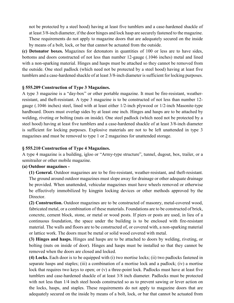not be protected by a steel hood) having at least five tumblers and a case-hardened shackle of at least 3/8-inch diameter, if the door hinges and lock hasp are securely fastened to the magazine. These requirements do not apply to magazine doors that are adequately secured on the inside by means of a bolt, lock, or bar that cannot be actuated from the outside.

**(c) Detonator boxes.** Magazines for detonators in quantities of 100 or less are to have sides, bottoms and doors constructed of not less than number 12-gauge (.1046 inches) metal and lined with a non-sparking material. Hinges and hasps must be attached so they cannot be removed from the outside. One steel padlock (which need not be protected by a steel hood) having at least five tumblers and a case-hardened shackle of at least 3/8-inch diameter is sufficient for locking purposes.

#### **§ 555.209 Construction of Type 3 Magazines.**

A type 3 magazine is a "day-box" or other portable magazine. It must be fire-resistant, weatherresistant, and theft-resistant. A type 3 magazine is to be constructed of not less than number 12 gauge (.1046 inches) steel, lined with at least either 1/2-inch plywood or 1/2-inch Masonite-type hardboard. Doors must overlap sides by at least one inch. Hinges and hasps are to be attached by welding, riveting or bolting (nuts on inside). One steel padlock (which need not be protected by a steel hood) having at least five tumblers and a case-hardened shackle of at least 3/8-inch diameter is sufficient for locking purposes. Explosive materials are not to be left unattended in type 3 magazines and must be removed to type 1 or 2 magazines for unattended storage.

#### **§ 555.210 Construction of Type 4 Magazines.**

A type 4 magazine is a building, igloo or "Army-type structure", tunnel, dugout, box, trailer, or a semitrailer or other mobile magazine.

#### **(a) Outdoor magazines -**

**(1) General.** Outdoor magazines are to be fire-resistant, weather-resistant, and theft-resistant. The ground around outdoor magazines must slope away for drainage or other adequate drainage be provided. When unattended, vehicular magazines must have wheels removed or otherwise be effectively immobilized by kingpin locking devices or other methods approved by the Director.

**(2) Construction.** Outdoor magazines are to be constructed of masonry, metal-covered wood, fabricated metal, or a combination of these materials. Foundations are to be constructed of brick, concrete, cement block, stone, or metal or wood posts. If piers or posts are used, in lieu of a continuous foundation, the space under the building is to be enclosed with fire-resistant material. The walls and floors are to be constructed of, or covered with, a non-sparking material or lattice work. The doors must be metal or solid wood covered with metal.

**(3) Hinges and hasps.** Hinges and hasps are to be attached to doors by welding, riveting, or bolting (nuts on inside of door). Hinges and hasps must be installed so that they cannot be removed when the doors are closed and locked.

**(4) Locks.** Each door is to be equipped with (i) two mortise locks; (ii) two padlocks fastened in separate hasps and staples; (iii) a combination of a mortise lock and a padlock; (iv) a mortise lock that requires two keys to open; or (v) a three-point lock. Padlocks must have at least five tumblers and case-hardened shackle of at least 3/8 inch diameter. Padlocks must be protected with not less than  $1/4$  inch steel hoods constructed so as to prevent sawing or lever action on the locks, hasps, and staples. These requirements do not apply to magazine doors that are adequately secured on the inside by means of a bolt, lock, or bar that cannot be actuated from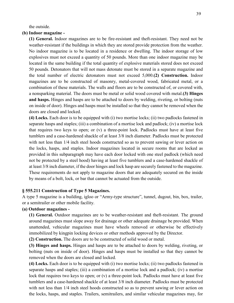the outside.

#### **(b) Indoor magazine -**

**(1) General.** Indoor magazines are to be fire-resistant and theft-resistant. They need not be weather-resistant if the buildings in which they are stored provide protection from the weather. No indoor magazine is to be located in a residence or dwelling. The indoor storage of low explosives must not exceed a quantity of 50 pounds. More than one indoor magazine may be located in the same building if the total quantity of explosive materials stored does not exceed 50 pounds. Detonators that will not mass detonate must be stored in a separate magazine and the total number of electric detonators must not exceed 5,000.**(2) Construction.** Indoor magazines are to be constructed of masonry, metal-covered wood, fabricated metal, or a combination of these materials. The walls and floors are to be constructed of, or covered with, a nonsparking material. The doors must be metal or solid wood covered with metal.**(3) Hinges and hasps.** Hinges and hasps are to be attached to doors by welding, riveting, or bolting (nuts on inside of door). Hinges and hasps must be installed so that they cannot be removed when the doors are closed and locked.

**(4) Locks.** Each door is to be equipped with (i) two mortise locks; (ii) two padlocks fastened in separate hasps and staples; (iii) a combination of a mortise lock and padlock; (iv) a mortise lock that requires two keys to open; or (v) a three-point lock. Padlocks must have at least five tumblers and a case-hardened shackle of at least 3/8 inch diameter. Padlocks must be protected with not less than  $1/4$  inch steel hoods constructed so as to prevent sawing or lever action on the locks, hasps, and staples. Indoor magazines located in secure rooms that are locked as provided in this subparagraph may have each door locked with one steel padlock (which need not be protected by a steel hood) having at least five tumblers and a case-hardened shackle of at least 3/8 inch diameter, if the door hinges and lock hasp are securely fastened to the magazine. These requirements do not apply to magazine doors that are adequately secured on the inside by means of a bolt, lock, or bar that cannot be actuated from the outside.

#### **§ 555.211 Construction of Type 5 Magazines.**

A type 5 magazine is a building, igloo or "Army-type structure", tunnel, dugout, bin, box, trailer, or a semitrailer or other mobile facility.

#### **(a) Outdoor magazines -**

**(1) General.** Outdoor magazines are to be weather-resistant and theft-resistant. The ground around magazines must slope away for drainage or other adequate drainage be provided. When unattended, vehicular magazines must have wheels removed or otherwise be effectively immobilized by kingpin locking devices or other methods approved by the Director.

**(2) Construction.** The doors are to be constructed of solid wood or metal.

**(3) Hinges and hasps.** Hinges and hasps are to be attached to doors by welding, riveting, or bolting (nuts on inside of door). Hinges and hasps must be installed so that they cannot be removed when the doors are closed and locked.

**(4) Locks.** Each door is to be equipped with (i) two mortise locks; (ii) two padlocks fastened in separate hasps and staples; (iii) a combination of a mortise lock and a padlock; (iv) a mortise lock that requires two keys to open; or (v) a three-point lock. Padlocks must have at least five tumblers and a case-hardened shackle of at least 3/8 inch diameter. Padlocks must be protected with not less than  $1/4$  inch steel hoods constructed so as to prevent sawing or lever action on the locks, hasps, and staples. Trailers, semitrailers, and similar vehicular magazines may, for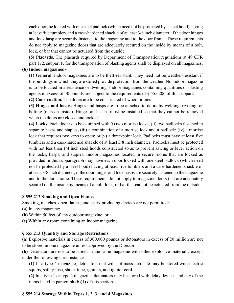each door, be locked with one steel padlock (which need not be protected by a steel hood) having at least five tumblers and a case-hardened shackle of at least 3/8 inch diameter, if the door hinges and lock hasp are securely fastened to the magazine and to the door frame. These requirements do not apply to magazine doors that are adequately secured on the inside by means of a bolt, lock, or bar that cannot be actuated from the outside.

**(5) Placards.** The placards required by Department of Transportation regulations at 49 CFR part 172, subpart F, for the transportation of blasting agents shall be displayed on all magazines.

## **(b) Indoor magazines -**

**(1) General.** Indoor magazines are to be theft-resistant. They need not be weather-resistant if the buildings in which they are stored provide protection from the weather. No indoor magazine is to be located in a residence or dwelling. Indoor magazines containing quantities of blasting agents in excess of 50 pounds are subject to the requirements of § 555.206 of this subpart.

**(2) Construction.** The doors are to be constructed of wood or metal.

**(3) Hinges and hasps.** Hinges and hasps are to be attached to doors by welding, riveting, or bolting (nuts on inside). Hinges and hasps must be installed so that they cannot be removed when the doors are closed and locked.

**(4) Locks.** Each door is to be equipped with (i) two mortise locks; (ii) two padlocks fastened in separate hasps and staples; (iii) a combination of a mortise lock and a padlock; (iv) a mortise lock that requires two keys to open; or  $(v)$  a three-point lock. Padlocks must have at least five tumblers and a case-hardened shackle of at least 3/8 inch diameter. Padlocks must be protected with not less than  $1/4$  inch steel hoods constructed so as to prevent sawing or lever action on the locks, hasps, and staples. Indoor magazines located in secure rooms that are locked as provided in this subparagraph may have each door locked with one steel padlock (which need not be protected by a steel hood) having at least five tumblers and a case-hardened shackle of at least 3/8 inch diameter, if the door hinges and lock hasps are securely fastened to the magazine and to the door frame. These requirements do not apply to magazine doors that are adequately secured on the inside by means of a bolt, lock, or bar that cannot be actuated from the outside.

#### **§ 555.212 Smoking and Open Flames**.

Smoking, matches, open flames, and spark producing devices are not permitted:

- **(a)** In any magazine;
- **(b)** Within 50 feet of any outdoor magazine; or
- **(c)** Within any room containing an indoor magazine.

#### **§ 555.213 Quantity and Storage Restrictions.**

**(a)** Explosive materials in excess of 300,000 pounds or detonators in excess of 20 million are not to be stored in one magazine unless approved by the Director.

**(b)** Detonators are not to be stored in the same magazine with other explosive materials, except under the following circumstances:

**(1)** In a type 4 magazine, detonators that will not mass detonate may be stored with electric squibs, safety fuse, shock tube, igniters, and igniter cord.

**(2)** In a type 1 or type 2 magazine, detonators may be stored with delay devices and any of the items listed in paragraph (b)(1) of this section.

#### **§ 555.214 Storage Within Types 1, 2, 3, and 4 Magazines**.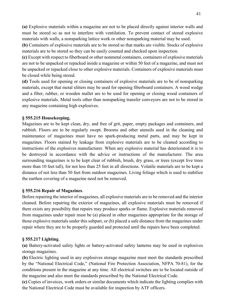**(a)** Explosive materials within a magazine are not to be placed directly against interior walls and must be stored so as not to interfere with ventilation. To prevent contact of stored explosive materials with walls, a nonsparking lattice work or other nonsparking material may be used.

**(b)** Containers of explosive materials are to be stored so that marks are visible. Stocks of explosive materials are to be stored so they can be easily counted and checked upon inspection.

**(c)** Except with respect to fiberboard or other nonmetal containers, containers of explosive materials are not to be unpacked or repacked inside a magazine or within 50 feet of a magazine, and must not be unpacked or repacked close to other explosive materials. Containers of explosive materials must be closed while being stored.

**(d)** Tools used for opening or closing containers of explosive materials are to be of nonsparking materials, except that metal slitters may be used for opening fiberboard containers. A wood wedge and a fiber, rubber, or wooden mallet are to be used for opening or closing wood containers of explosive materials. Metal tools other than nonsparking transfer conveyors are not to be stored in any magazine containing high explosives.

#### **§ 555.215 Housekeeping.**

Magazines are to be kept clean, dry, and free of grit, paper, empty packages and containers, and rubbish. Floors are to be regularly swept. Brooms and other utensils used in the cleaning and maintenance of magazines must have no spark-producing metal parts, and may be kept in magazines. Floors stained by leakage from explosive materials are to be cleaned according to instructions of the explosives manufacturer. When any explosive material has deteriorated it is to be destroyed in accordance with the advice or instructions of the manufacturer. The area surrounding magazines is to be kept clear of rubbish, brush, dry grass, or trees (except live trees more than 10 feet tall), for not less than 25 feet in all directions. Volatile materials are to be kept a distance of not less than 50 feet from outdoor magazines. Living foliage which is used to stabilize the earthen covering of a magazine need not be removed.

#### **§ 555.216 Repair of Magazines**.

Before repairing the interior of magazines, all explosive materials are to be removed and the interior cleaned. Before repairing the exterior of magazines, all explosive materials must be removed if there exists any possibility that repairs may produce sparks or flame. Explosive materials removed from magazines under repair must be (a) placed in other magazines appropriate for the storage of those explosive materials under this subpart, or (b) placed a safe distance from the magazines under repair where they are to be properly guarded and protected until the repairs have been completed.

#### **§ 555.217 Lighting**.

**(a)** Battery-activated safety lights or battery-activated safety lanterns may be used in explosives storage magazines.

**(b)** Electric lighting used in any explosives storage magazine must meet the standards prescribed by the "National Electrical Code," (National Fire Protection Association, NFPA 70-81), for the conditions present in the magazine at any time. All electrical switches are to be located outside of the magazine and also meet the standards prescribed by the National Electrical Code.

**(c)** Copies of invoices, work orders or similar documents which indicate the lighting complies with the National Electrical Code must be available for inspection by ATF officers.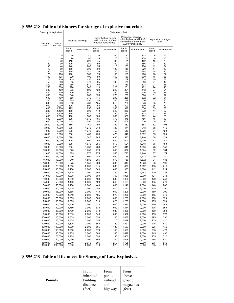| Quantity of explosives |                    | Distances in feet |                     |                 |                                                                         |                 |                                                                                                    |                 |                              |
|------------------------|--------------------|-------------------|---------------------|-----------------|-------------------------------------------------------------------------|-----------------|----------------------------------------------------------------------------------------------------|-----------------|------------------------------|
| Pounds<br>over         | Pounds<br>not over |                   | Inhabited buildings |                 | Public highways with<br>traffic volume of 3000<br>or fewer vehicles/day |                 | Passenger railways-<br>public highways with traf-<br>fic volume of more than<br>3,000 vehicles/day |                 | Separation of maga-<br>zines |
|                        |                    | Barri-<br>caded   | Unbarricaded        | Barri-<br>caded | Unbarricaded                                                            | Barri-<br>caded | Unbarricaded                                                                                       | Barri-<br>caded | Unbarricaded                 |
| 0                      | 5                  | 70                | 140                 | 30              | 60                                                                      | 51              | 102                                                                                                | 6               | 12                           |
| 5                      | 10                 | 90                | 180                 | 35              | 70                                                                      | 64              | 128                                                                                                | 8               | 16                           |
| 10                     | 20                 | 110               | <b>220</b>          | 45              | 90                                                                      | 81              | 162                                                                                                | 10              | 20                           |
| 20<br>30               | 30<br>40           | 125<br>140        | 250<br>280          | 50<br>55        | 100<br>110                                                              | 93<br>103       | 186<br>206                                                                                         | 11<br>12        | 22<br>24                     |
| 40                     | 50                 | 150               | 300                 | 60              | 120                                                                     | 110             | 220                                                                                                | 14              | 28                           |
| 50                     | 75                 | 170               | 340                 | 70              | 140                                                                     | 127             | 254                                                                                                | 15              | 30                           |
| 75                     | 100                | 190               | 380                 | 75              | 150                                                                     | 139             | 278                                                                                                | 16              | 32                           |
| 100<br>125             | 125<br>150         | 200<br>215        | 400<br>430          | 80<br>85        | 160<br>170                                                              | 150<br>159      | 300<br>318                                                                                         | 18<br>19        | 36<br>38                     |
| 150                    | 200                | 235               | 470                 | 95              | 190                                                                     | 175             | 350                                                                                                | 21              | 42                           |
| 200                    | 250                | 255               | 510                 | 105             | 210                                                                     | 189             | 378                                                                                                | 23              | 46                           |
| 250                    | 300                | 270               | 54C                 | 110             | 220                                                                     | 201             | 402                                                                                                | 24              | 48                           |
| 300<br>400             | 400<br>500         | 295<br>320        | 590<br>640          | 120<br>130      | 240<br>260                                                              | 221<br>238      | 442<br>476                                                                                         | 27<br>29        | 54<br>58                     |
| 500                    | 600                | 340               | 680                 | 135             | 270                                                                     | 253             | 506                                                                                                | 31              | 62                           |
| 600                    | 700                | 355               | 710                 | 145             | 290                                                                     | 266             | 532                                                                                                | 32              | 64                           |
| 700                    | 800                | 375               | 750                 | 150             | 300                                                                     | 278             | 556                                                                                                | 33              | 66                           |
| 800<br>900             | 900<br>1,000       | 390<br>400        | 780<br>80C          | 155<br>160      | 310<br>320                                                              | 289<br>300      | 578<br>600                                                                                         | 35<br>36        | 70<br>72                     |
| 1,000                  | 1,200              | 425               | 850                 | 165             | 330                                                                     | 318             | 636                                                                                                | 39              | 78                           |
| 1,200                  | 1,400              | 450               | 900                 | 170             | 340                                                                     | 336             | 672                                                                                                | 41              | 82                           |
| 1,400                  | 1,600              | 470               | 940                 | 175             | 350                                                                     | 351             | 702                                                                                                | 43<br>44        | 86                           |
| 1,600<br>1,800         | 1,800<br>2,000     | 490<br>505        | 980<br>1,010        | 180<br>185      | 360<br>370                                                              | 366<br>378      | 732<br>756                                                                                         | 45              | 88<br>90                     |
| 2,000                  | 2,500              | 545               | 1,090               | 190             | 380                                                                     | 408             | 816                                                                                                | 49              | 98                           |
| 2,500                  | 3,000              | 580               | 1,160               | 195             | 390                                                                     | 432             | 864                                                                                                | 52              | 104                          |
| 3,000                  | 4,000              | 635               | 1,270               | 210             | 420                                                                     | 474             | 948                                                                                                | 58              | 116                          |
| 4,000                  | 5.000              | 685               | 1,370               | 225             | 450                                                                     | 513             | 1,026                                                                                              | 61              | 122                          |
| 5.000                  | 6,000              | 730               | 1,460               | 235             | 470                                                                     | 546             | 1,092                                                                                              | 65              | 130                          |
| 6,000                  | 7,000              | 770               | 1,540               | 245             | 490                                                                     | 573             | 1,146                                                                                              | 68              | 136                          |
| 7,000                  | 8,000              | 800               | 1,600               | 250             | 500                                                                     | 600             | 1,200                                                                                              | 72              | 144                          |
| 8,000                  | 9,000              | 835               | 1,670               | 255             | 510                                                                     | 624             | 1,248                                                                                              | 75              | 150                          |
| 9,000                  | 10,000             | 865               | 1,730               | 260             | 520                                                                     | 645             | 1,290                                                                                              | 78              | 156                          |
| 10,000                 | 12,000             | 875               | 1,750               | 270             | 540                                                                     | 687             | 1,374                                                                                              | 82              | 164                          |
| 12,000                 | 14,000             | 885               | 1,770               | 275             | 550                                                                     | 723             | 1,446                                                                                              | 87              | 174                          |
| 14,000                 | 16,000             | 900               | 1,800               | 280             | 560                                                                     | 756             | 1,512                                                                                              | 90              | 180                          |
| 16,000                 | 18,000             | 940               | 1,880               | 285             | 570                                                                     | 786             | 1,572                                                                                              | 94              | 188                          |
| 18,000<br>20,000       | 20,000<br>25,000   | 975<br>1,055      | 1,950<br>2,000      | 290<br>315      | 580<br>630                                                              | 813<br>876      | 1,626<br>1,752                                                                                     | 98<br>105       | 196<br>210                   |
| 25,000                 | 30,000             | 1,130             | 2,000               | 340             | 680                                                                     | 933             | 1,866                                                                                              | 112             | 224                          |
| 30,000                 | 35,000             | 1,205             | 2,000               | 360             | 720                                                                     | 981             | 1,962                                                                                              | 119             | 238                          |
| 35,000                 | 40,000             | 1,275             | 2,000               | 380             | 760                                                                     | 1,026           | 2,000                                                                                              | 124             | 248                          |
| 40,000                 | 45,000             | 1,340             | 2,000               | 400             | 800                                                                     | 1,068           | 2,000                                                                                              | 129             | 258                          |
| 45,000                 | 50,000             | 1,400             | 2,000               | 420             | 840                                                                     | 1,104           | 2,000                                                                                              | 135             | 270                          |
| 50,000                 | 55,000             | 1,460             | 2,000               | 440             | 880                                                                     | 1,140           | 2,000                                                                                              | 140             | 280                          |
| 55,000                 | 60,000             | 1,515             | 2,000               | 455             | 910                                                                     | 1,173           | 2,000                                                                                              | 145             | 290                          |
| 60,000                 | 65,000             | 1,565             | 2,000               | 470             | 940                                                                     | 1,206           | 2,000                                                                                              | 150             | 300                          |
| 65,000                 | 70,000             | 1,610             | 2,000               | 485             | 970                                                                     | 1,236           | 2,000                                                                                              | 155             | 310                          |
| 70,000                 | 75,000             | 1,655             | 2,000               | 500             | 1,000                                                                   | 1,263           | 2,000                                                                                              | 160             | 320                          |
| 75,000                 | 80,000             | 1,695             | 2,000               | 510             | 1,020                                                                   | 1,293           | 2,000                                                                                              | 165             | 330                          |
| 80,000                 | 85,000             | 1,730             | 2,000               | 520             | 1,040                                                                   | 1,317           | 2,000                                                                                              | 170             | 340                          |
| 85,000                 | 90,000             | 1,760             | 2,000               | 530             | 1,060                                                                   | 1,344           | 2,000                                                                                              | 175             | 350                          |
| 90,000                 | 95,000             | 1,790             | 2,000               | 540             | 1,080                                                                   | 1,368           | 2,000                                                                                              | 180             | 360                          |
| 95,000                 | 100,000            | 1,815             | 2,000               | 545             | 1,090                                                                   | 1,392           | 2,000                                                                                              | 185             | 370                          |
| 100,000                | 110,000            | 1,835             | 2,000               | 550             | 1,100                                                                   | 1,437           | 2,000                                                                                              | 195             | 390                          |
| 110,000                | 120,000            | 1,855             | 2,000               | 555             | 1,110                                                                   | 1,479           | 2,000                                                                                              | 205             | 410                          |
| 120,000                | 130,000            | 1,875             | 2,000               | 560             | 1,120                                                                   | 1,521           | 2,000                                                                                              | 215             | 430                          |
| 130,000                | 140,000            | 1,890             | 2,000               | 565<br>570      | 1,130                                                                   | 1,557           | 2,000                                                                                              | 225             | 450                          |
| 140,000<br>150,000     | 150,000<br>160,000 | 1,900<br>1,935    | 2,000<br>2,000      | 580             | 1,140<br>1,160                                                          | 1,593<br>1,629  | 2,000<br>2,000                                                                                     | 235<br>245      | 470<br>490                   |
| 160,000                | 170,000            | 1,965             | 2,000               | 590             | 1,180                                                                   | 1,662           | 2,000                                                                                              | 255             | 510                          |
| 170,000                | 180,000            | 1,990             | 2,000               | 600             | 1,200                                                                   | 1,695           | 2,000                                                                                              | 265             | 530                          |
|                        |                    |                   |                     |                 | 1,210                                                                   |                 |                                                                                                    |                 |                              |
| 180,000<br>190,000     | 190,000<br>200,000 | 2,010<br>2,030    | 2,010<br>2,030      | 605<br>610      | 1,220                                                                   | 1,725<br>1,755  | 2,000<br>2,000                                                                                     | 275<br>285      | 550<br>570                   |
|                        |                    |                   |                     |                 |                                                                         |                 |                                                                                                    |                 |                              |

## **§ 555.218 Table of distances for storage of explosive materials**.

## **§ 555.219 Table of Distances for Storage of Low Explosives.**

| <b>Pounds</b> | From      | From     | From      |
|---------------|-----------|----------|-----------|
|               | inhabited | public   | above     |
|               | building  | railroad | ground    |
|               | distance  | and      | magazines |
|               | (feet)    | highway  | (feet)    |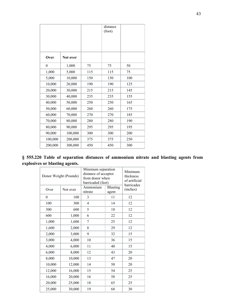|                  |          |     | distance<br>(foot) |     |
|------------------|----------|-----|--------------------|-----|
|                  |          |     |                    |     |
| Over             | Not over |     |                    |     |
| $\boldsymbol{0}$ | 1,000    | 75  | 75                 | 50  |
| 1,000            | 5,000    | 115 | 115                | 75  |
| 5,000            | 10,000   | 150 | 150                | 100 |
| 10,000           | 20,000   | 190 | 190                | 125 |
| 20,000           | 30,000   | 215 | 215                | 145 |
| 30,000           | 40,000   | 235 | 235                | 155 |
| 40,000           | 50,000   | 250 | 250                | 165 |
| 50,000           | 60,000   | 260 | 260                | 175 |
| 60,000           | 70,000   | 270 | 270                | 185 |
| 70,000           | 80,000   | 280 | 280                | 190 |
| 80,000           | 90,000   | 295 | 295                | 195 |
| 90,000           | 100,000  | 300 | 300                | 200 |
| 100,000          | 200,000  | 375 | 375                | 250 |
| 200,000          | 300,000  | 450 | 450                | 300 |

|  |  |                                |  | § 555.220 Table of separation distances of ammonium nitrate and blasting agents from |  |  |  |
|--|--|--------------------------------|--|--------------------------------------------------------------------------------------|--|--|--|
|  |  | explosives or blasting agents. |  |                                                                                      |  |  |  |

| Donor Weight (Pounds) |          | Minimum separation<br>distance of acceptor<br>from donor when<br>barricaded (feet) | Minimum<br>thickness<br>of artificial<br>barricades |          |
|-----------------------|----------|------------------------------------------------------------------------------------|-----------------------------------------------------|----------|
| Over                  | Not over | Ammonium<br>nitrate                                                                | Blasting<br>agent                                   | (inches) |
| $\boldsymbol{0}$      | 100      | 3                                                                                  | 11                                                  | 12       |
| 100                   | 300      | 4                                                                                  | 14                                                  | 12       |
| 300                   | 600      | 5                                                                                  | 18                                                  | 12       |
| 600                   | 1,000    | 6                                                                                  | 22                                                  | 12       |
| 1,000                 | 1,600    | 7                                                                                  | 25                                                  | 12       |
| 1,600                 | 2,000    | 8                                                                                  | 29                                                  | 12       |
| 2,000                 | 3,000    | 9                                                                                  | 32                                                  | 15       |
| 3,000                 | 4,000    | 10                                                                                 | 36                                                  | 15       |
| 4,000                 | 6,000    | 11                                                                                 | 40                                                  | 15       |
| 6,000                 | 8,000    | 12                                                                                 | 43                                                  | 20       |
| 8,000                 | 10,000   | 13                                                                                 | 47                                                  | 20       |
| 10,000                | 12,000   | 14                                                                                 | 50                                                  | 20       |
| 12,000                | 16,000   | 15                                                                                 | 54                                                  | 25       |
| 16,000                | 20,000   | 16                                                                                 | 58                                                  | 25       |
| 20,000                | 25,000   | 18                                                                                 | 65                                                  | 25       |
| 25,000                | 30,000   | 19                                                                                 | 68                                                  | 30       |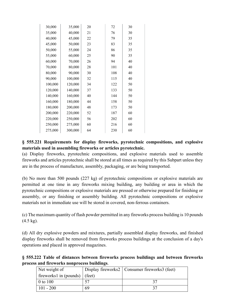| 30,000  | 35,000  | 20 | 72  | 30 |  |
|---------|---------|----|-----|----|--|
| 35,000  | 40,000  | 21 | 76  | 30 |  |
| 40,000  | 45,000  | 22 | 79  | 35 |  |
| 45,000  | 50,000  | 23 | 83  | 35 |  |
| 50,000  | 55,000  | 24 | 86  | 35 |  |
| 55,000  | 60,000  | 25 | 90  | 35 |  |
| 60,000  | 70,000  | 26 | 94  | 40 |  |
| 70,000  | 80,000  | 28 | 101 | 40 |  |
| 80,000  | 90,000  | 30 | 108 | 40 |  |
| 90,000  | 100,000 | 32 | 115 | 40 |  |
| 100,000 | 120,000 | 34 | 122 | 50 |  |
| 120,000 | 140,000 | 37 | 133 | 50 |  |
| 140,000 | 160,000 | 40 | 144 | 50 |  |
| 160,000 | 180,000 | 44 | 158 | 50 |  |
| 180,000 | 200,000 | 48 | 173 | 50 |  |
| 200,000 | 220,000 | 52 | 187 | 60 |  |
| 220,000 | 250,000 | 56 | 202 | 60 |  |
| 250,000 | 275,000 | 60 | 216 | 60 |  |
| 275,000 | 300,000 | 64 | 230 | 60 |  |
|         |         |    |     |    |  |

## **§ 555.221 Requirements for display fireworks, pyrotechnic compositions, and explosive materials used in assembling fireworks or articles pyrotechnic.**

(a) Display fireworks, pyrotechnic compositions, and explosive materials used to assemble fireworks and articles pyrotechnic shall be stored at all times as required by this Subpart unless they are in the process of manufacture, assembly, packaging, or are being transported.

(b) No more than 500 pounds (227 kg) of pyrotechnic compositions or explosive materials are permitted at one time in any fireworks mixing building, any building or area in which the pyrotechnic compositions or explosive materials are pressed or otherwise prepared for finishing or assembly, or any finishing or assembly building. All pyrotechnic compositions or explosive materials not in immediate use will be stored in covered, non-ferrous containers.

(c) The maximum quantity of flash powder permitted in any fireworks process building is 10 pounds (4.5 kg).

(d) All dry explosive powders and mixtures, partially assembled display fireworks, and finished display fireworks shall be removed from fireworks process buildings at the conclusion of a day's operations and placed in approved magazines.

**§ 555.222 Table of distances between fireworks process buildings and between fireworks process and fireworks nonprocess buildings**.

| Net weight of                     |    | Display fireworks2   Consumer fireworks3 (feet) |
|-----------------------------------|----|-------------------------------------------------|
| fireworks1 in (pounds) $ $ (feet) |    |                                                 |
| 0 to 100                          |    |                                                 |
| $101 - 200$                       | 69 |                                                 |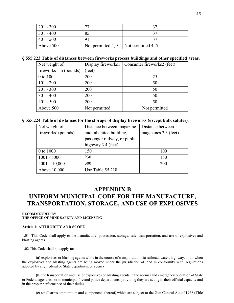| $201 - 300$ |                                         |  |
|-------------|-----------------------------------------|--|
| $301 - 400$ |                                         |  |
| $401 - 500$ |                                         |  |
| Above 500   | Not permitted 4, 5   Not permitted 4, 5 |  |

#### **§ 555.223 Table of distances between fireworks process buildings and other specified areas**.

| Net weight of          |               | Display fireworks1   Consumer fireworks2 (feet) |
|------------------------|---------------|-------------------------------------------------|
| fireworks1 in (pounds) | (feet)        |                                                 |
| 0 to 100               | 200           | 25                                              |
| $101 - 200$            | 200           | 50                                              |
| $201 - 300$            | 200           | 50                                              |
| $301 - 400$            | 200           | 50                                              |
| $401 - 500$            | 200           | 50                                              |
| Above 500              | Not permitted | Not permitted                                   |

#### **§ 555.224 Table of distances for the storage of display fireworks (except bulk salutes)**.

| Net weight of      | Distance between magazine    | Distance between     |
|--------------------|------------------------------|----------------------|
| fireworks1(pounds) | and inhabited building,      | magazines 2 3 (feet) |
|                    | passenger railway, or public |                      |
|                    | highway 3 4 (feet)           |                      |
| 0 to 1000          | 150                          | 100                  |
| $1001 - 5000$      | 230                          | 150                  |
| $5001 - 10,000$    | 300                          | 200                  |
| Above 10,000       | Use Table 55.218             |                      |

## **APPENDIX B**

## **UNIFORM MUNICIPAL CODE FOR THE MANUFACTURE, TRANSPORTATION, STORAGE, AND USE OF EXPLOSIVES**

#### **RECOMMENDED BY THE OFFICE OF MINE SAFETY AND LICENSING**

#### **Article 1: AUTHORITY AND SCOPE**

1.01 This Code shall apply to the manufacture, possession, storage, sale, transportation, and use of explosives and blasting agents.

1.02 This Code shall not apply to:

**(a)** explosives or blasting agents while in the course of transportation via railroad, water, highway, or air when the explosives and blasting agents are being moved under the jurisdiction of, and in conformity with, regulations adopted by any Federal or State department or agency.

**(b)** the transportation and use of explosives or blasting agents in the normal and emergency operation of State or Federal agencies nor to municipal fire and police departments, providing they are acting in their official capacity and in the proper performance of their duties.

**(c)** small arms ammunition and components thereof, which are subject to the Gun Control Act of 1968 (Title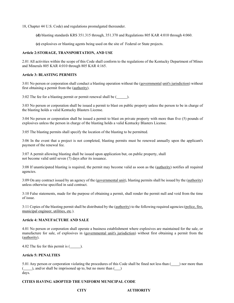18, Chapter 44 U.S. Code) and regulations promulgated thereunder.

**(d)** blasting standards KRS 351.315 through, 351.370 and Regulations 805 KAR 4:010 through 4:060.

**(e)** explosives or blasting agents being used on the site of Federal or State projects.

#### **Article 2:STORAGE, TRANSPORTATION, AND USE**

2.01 All activities within the scope of this Code shall conform to the regulations of the Kentucky Department of Mines and Minerals 805 KAR 4:010 through 805 KAR 4:165.

#### **Article 3: BLASTING PERMITS**

3:01 No person or corporation shall conduct a blasting operation without the (governmental unit's jurisdiction) without first obtaining a permit from the (authority).

3:02 The fee for a blasting permit or permit renewal shall be  $($ 

3:03 No person or corporation shall be issued a permit to blast on public property unless the person to be in charge of the blasting holds a valid Kentucky Blasters License.

3:04 No person or corporation shall be issued a permit to blast on private property with more than five (5) pounds of explosives unless the person in charge of the blasting holds a valid Kentucky Blasters License.

3:05 The blasting permits shall specify the location of the blasting to be permitted.

3:06 In the event that a project is not completed, blasting permits must be renewed annually upon the applicant's payment of the renewal fee.

3:07 A permit allowing blasting shall be issued upon application but, on public property, shall not become valid until seven (7) days after its issuance.

3:08 If unanticipated blasting is required, the permit may become valid as soon as the (authority) notifies all required agencies.

3:09 On any contract issued by an agency of the (governmental unit), blasting permits shall be issued by the (authority) unless otherwise specified in said contract.

3:10 False statements, made for the purpose of obtaining a permit, shall render the permit null and void from the time of issue.

3:11 Copies of the blasting permit shall be distributed by the (authority) to the following required agencies:(police, fire, municipal engineer, utilities, etc.).

#### **Article 4: MANUFACTURE AND SALE**

4.01 No person or corporation shall operate a business establishment where explosives are maintained for the sale, or manufacture for sale, of explosives in (governmental unit's jurisdiction) without first obtaining a permit from the (authority).

4.02 The fee for this permit is  $($ 

#### **Article 5: PENALTIES**

5.01 Any person or corporation violating the procedures of this Code shall be fined not less than ( ) nor more than  $(\_\_\_\)$ , and/or shall be imprisoned up to, but no more than  $(\_\_\)$ days.

#### **CITIES HAVING ADOPTED THE UNIFORM MUNICIPAL CODE**

**CITY AUTHORITY**